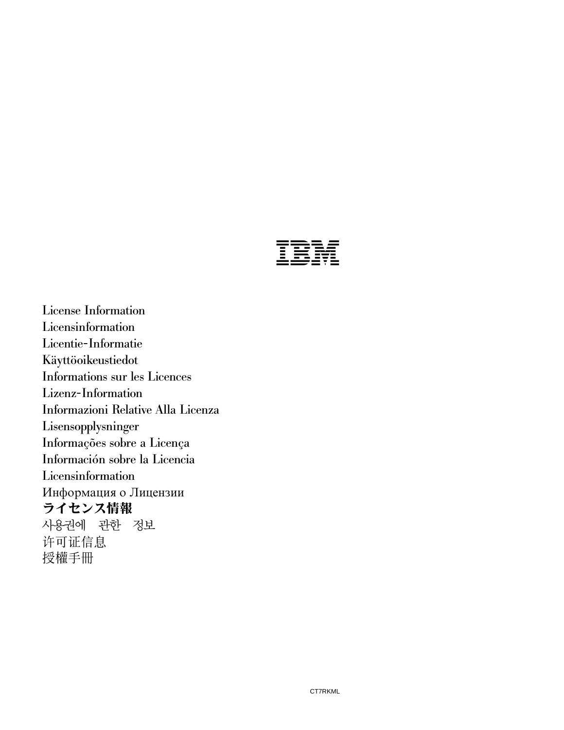|  | $\overline{\phantom{a}}$ | ____<br>______<br>_ _ _<br>___<br>- - -- -<br>_____<br>____ |
|--|--------------------------|-------------------------------------------------------------|

License Information Licensinformation Licentie-Informatie Käyttöoikeustiedot Informations sur les Licences Lizenz-Information Informazioni Relative Alla Licenza Lisensopplysninger Informações sobre a Licença Información sobre la Licencia Licensinformation Информация о Лицензии ライセンス情報 사용권에 관한 정보 许可证信息 授權手冊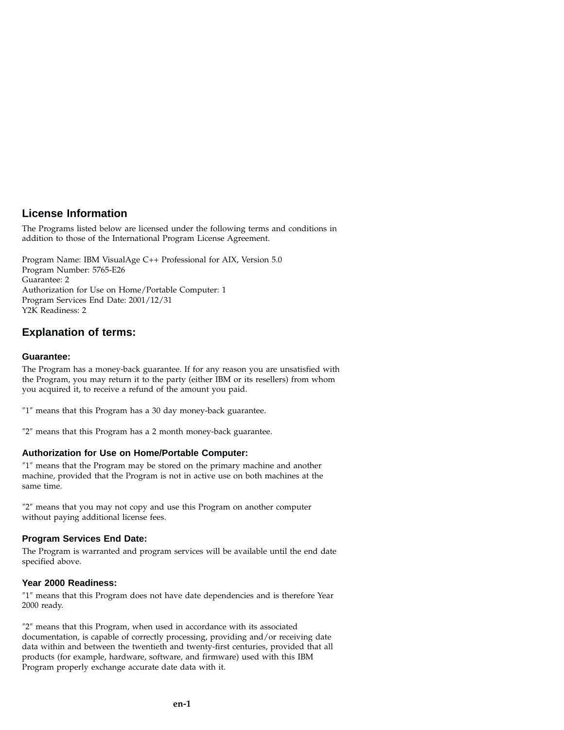## **License Information**

The Programs listed below are licensed under the following terms and conditions in addition to those of the International Program License Agreement.

Program Name: IBM VisualAge C++ Professional for AIX, Version 5.0 Program Number: 5765-E26 Guarantee: 2 Authorization for Use on Home/Portable Computer: 1 Program Services End Date: 2001/12/31 Y2K Readiness: 2

## **Explanation of terms:**

#### **Guarantee:**

The Program has a money-back guarantee. If for any reason you are unsatisfied with the Program, you may return it to the party (either IBM or its resellers) from whom you acquired it, to receive a refund of the amount you paid.

″1″ means that this Program has a 30 day money-back guarantee.

″2″ means that this Program has a 2 month money-back guarantee.

#### **Authorization for Use on Home/Portable Computer:**

″1″ means that the Program may be stored on the primary machine and another machine, provided that the Program is not in active use on both machines at the same time.

″2″ means that you may not copy and use this Program on another computer without paying additional license fees.

#### **Program Services End Date:**

The Program is warranted and program services will be available until the end date specified above.

#### **Year 2000 Readiness:**

″1″ means that this Program does not have date dependencies and is therefore Year 2000 ready.

″2″ means that this Program, when used in accordance with its associated documentation, is capable of correctly processing, providing and/or receiving date data within and between the twentieth and twenty-first centuries, provided that all products (for example, hardware, software, and firmware) used with this IBM Program properly exchange accurate date data with it.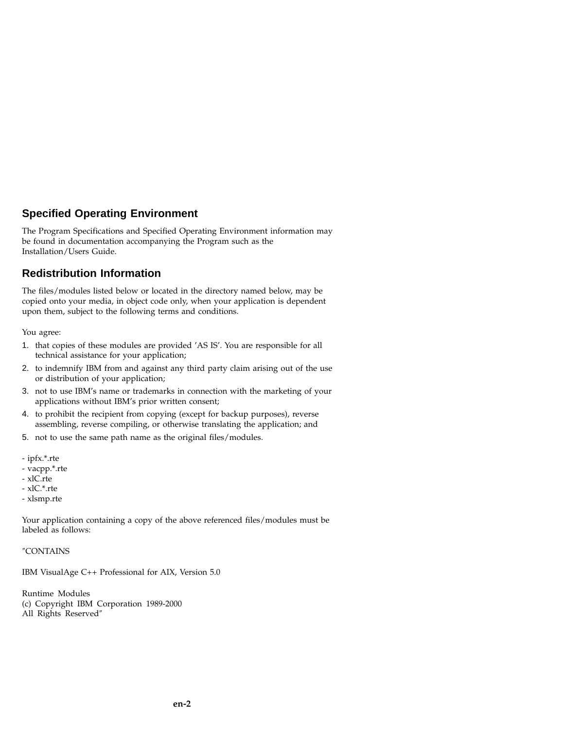## **Specified Operating Environment**

The Program Specifications and Specified Operating Environment information may be found in documentation accompanying the Program such as the Installation/Users Guide.

## **Redistribution Information**

The files/modules listed below or located in the directory named below, may be copied onto your media, in object code only, when your application is dependent upon them, subject to the following terms and conditions.

You agree:

- 1. that copies of these modules are provided 'AS IS'. You are responsible for all technical assistance for your application;
- 2. to indemnify IBM from and against any third party claim arising out of the use or distribution of your application;
- 3. not to use IBM's name or trademarks in connection with the marketing of your applications without IBM's prior written consent;
- 4. to prohibit the recipient from copying (except for backup purposes), reverse assembling, reverse compiling, or otherwise translating the application; and
- 5. not to use the same path name as the original files/modules.
- ipfx.\*.rte
- vacpp.\*.rte
- xlC.rte
- xlC.\*.rte
- xlsmp.rte

Your application containing a copy of the above referenced files/modules must be labeled as follows:

″CONTAINS

IBM VisualAge C++ Professional for AIX, Version 5.0

Runtime Modules (c) Copyright IBM Corporation 1989-2000 All Rights Reserved″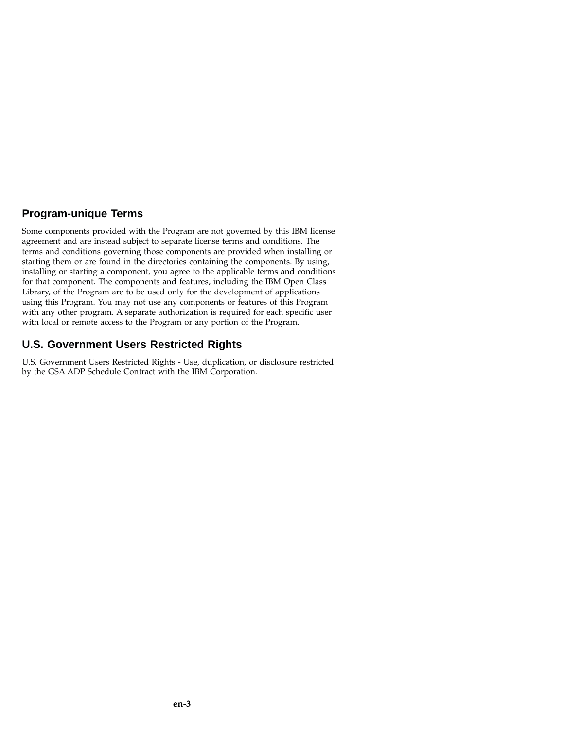## **Program-unique Terms**

Some components provided with the Program are not governed by this IBM license agreement and are instead subject to separate license terms and conditions. The terms and conditions governing those components are provided when installing or starting them or are found in the directories containing the components. By using, installing or starting a component, you agree to the applicable terms and conditions for that component. The components and features, including the IBM Open Class Library, of the Program are to be used only for the development of applications using this Program. You may not use any components or features of this Program with any other program. A separate authorization is required for each specific user with local or remote access to the Program or any portion of the Program.

## **U.S. Government Users Restricted Rights**

U.S. Government Users Restricted Rights - Use, duplication, or disclosure restricted by the GSA ADP Schedule Contract with the IBM Corporation.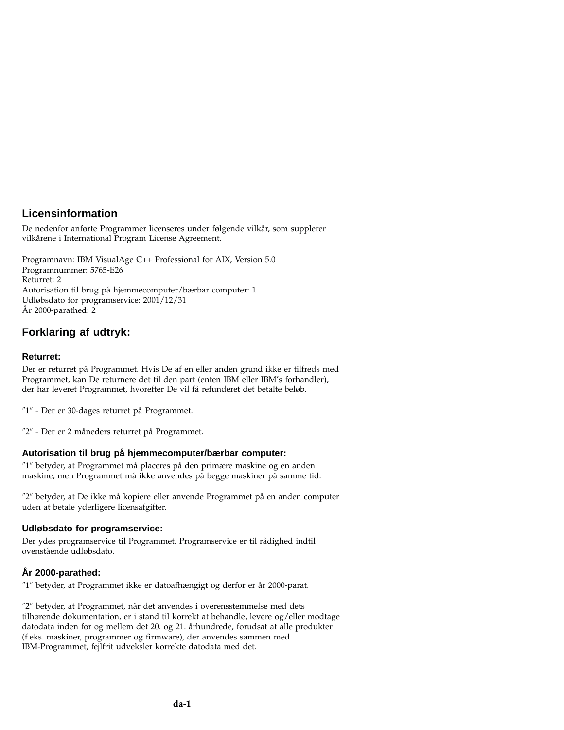## **Licensinformation**

De nedenfor anførte Programmer licenseres under følgende vilkår, som supplerer vilkårene i International Program License Agreement.

Programnavn: IBM VisualAge C++ Professional for AIX, Version 5.0 Programnummer: 5765-E26 Returret: 2 Autorisation til brug på hjemmecomputer/bærbar computer: 1 Udløbsdato for programservice: 2001/12/31 År 2000-parathed: 2

# **Forklaring af udtryk:**

### **Returret:**

Der er returret på Programmet. Hvis De af en eller anden grund ikke er tilfreds med Programmet, kan De returnere det til den part (enten IBM eller IBM's forhandler), der har leveret Programmet, hvorefter De vil få refunderet det betalte beløb.

″1″ - Der er 30-dages returret på Programmet.

″2″ - Der er 2 måneders returret på Programmet.

### **Autorisation til brug på hjemmecomputer/bærbar computer:**

″1″ betyder, at Programmet må placeres på den primære maskine og en anden maskine, men Programmet må ikke anvendes på begge maskiner på samme tid.

″2″ betyder, at De ikke må kopiere eller anvende Programmet på en anden computer uden at betale yderligere licensafgifter.

### **Udløbsdato for programservice:**

Der ydes programservice til Programmet. Programservice er til rådighed indtil ovenstående udløbsdato.

## **År 2000-parathed:**

″1″ betyder, at Programmet ikke er datoafhængigt og derfor er år 2000-parat.

″2″ betyder, at Programmet, når det anvendes i overensstemmelse med dets tilhørende dokumentation, er i stand til korrekt at behandle, levere og/eller modtage datodata inden for og mellem det 20. og 21. århundrede, forudsat at alle produkter (f.eks. maskiner, programmer og firmware), der anvendes sammen med IBM-Programmet, fejlfrit udveksler korrekte datodata med det.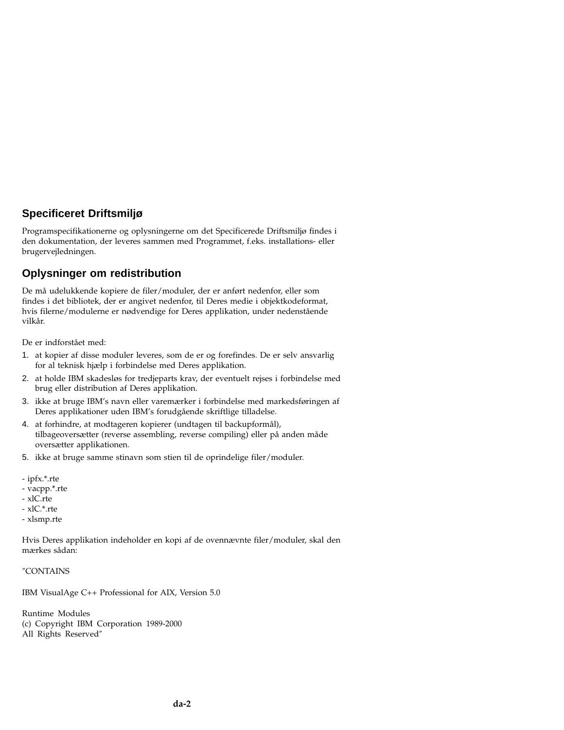# **Specificeret Driftsmiljø**

Programspecifikationerne og oplysningerne om det Specificerede Driftsmiljø findes i den dokumentation, der leveres sammen med Programmet, f.eks. installations- eller brugervejledningen.

## **Oplysninger om redistribution**

De må udelukkende kopiere de filer/moduler, der er anført nedenfor, eller som findes i det bibliotek, der er angivet nedenfor, til Deres medie i objektkodeformat, hvis filerne/modulerne er nødvendige for Deres applikation, under nedenstående vilkår.

De er indforstået med:

- 1. at kopier af disse moduler leveres, som de er og forefindes. De er selv ansvarlig for al teknisk hjælp i forbindelse med Deres applikation.
- 2. at holde IBM skadesløs for tredjeparts krav, der eventuelt rejses i forbindelse med brug eller distribution af Deres applikation.
- 3. ikke at bruge IBM's navn eller varemærker i forbindelse med markedsføringen af Deres applikationer uden IBM's forudgående skriftlige tilladelse.
- 4. at forhindre, at modtageren kopierer (undtagen til backupformål), tilbageoversætter (reverse assembling, reverse compiling) eller på anden måde oversætter applikationen.
- 5. ikke at bruge samme stinavn som stien til de oprindelige filer/moduler.
- ipfx.\*.rte
- vacpp.\*.rte
- xlC.rte
- xlC.\*.rte
- xlsmp.rte

Hvis Deres applikation indeholder en kopi af de ovennævnte filer/moduler, skal den mærkes sådan:

#### ″CONTAINS

IBM VisualAge C++ Professional for AIX, Version 5.0

Runtime Modules (c) Copyright IBM Corporation 1989-2000 All Rights Reserved″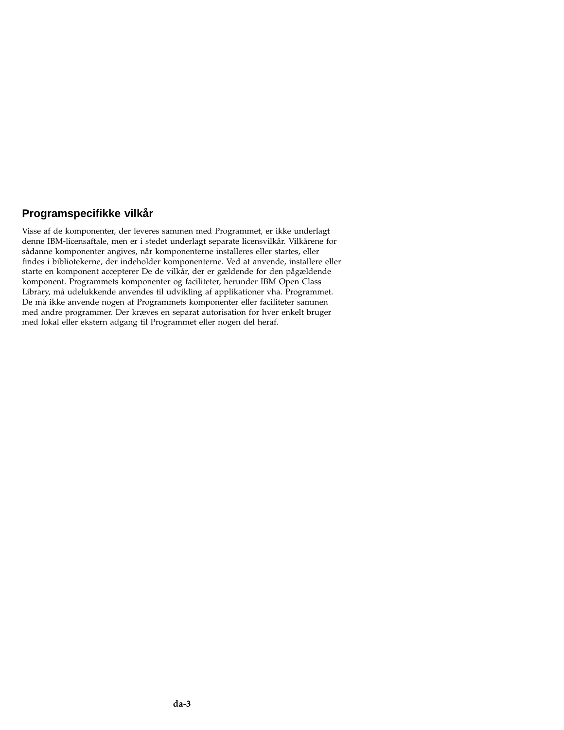## **Programspecifikke vilkår**

Visse af de komponenter, der leveres sammen med Programmet, er ikke underlagt denne IBM-licensaftale, men er i stedet underlagt separate licensvilkår. Vilkårene for sådanne komponenter angives, når komponenterne installeres eller startes, eller findes i bibliotekerne, der indeholder komponenterne. Ved at anvende, installere eller starte en komponent accepterer De de vilkår, der er gældende for den pågældende komponent. Programmets komponenter og faciliteter, herunder IBM Open Class Library, må udelukkende anvendes til udvikling af applikationer vha. Programmet. De må ikke anvende nogen af Programmets komponenter eller faciliteter sammen med andre programmer. Der kræves en separat autorisation for hver enkelt bruger med lokal eller ekstern adgang til Programmet eller nogen del heraf.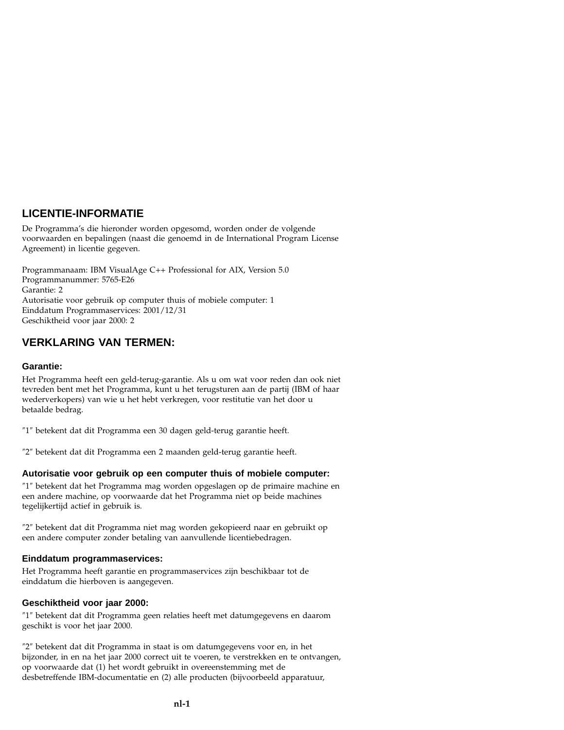# **LICENTIE-INFORMATIE**

De Programma's die hieronder worden opgesomd, worden onder de volgende voorwaarden en bepalingen (naast die genoemd in de International Program License Agreement) in licentie gegeven.

Programmanaam: IBM VisualAge C++ Professional for AIX, Version 5.0 Programmanummer: 5765-E26 Garantie: 2 Autorisatie voor gebruik op computer thuis of mobiele computer: 1 Einddatum Programmaservices: 2001/12/31 Geschiktheid voor jaar 2000: 2

## **VERKLARING VAN TERMEN:**

#### **Garantie:**

Het Programma heeft een geld-terug-garantie. Als u om wat voor reden dan ook niet tevreden bent met het Programma, kunt u het terugsturen aan de partij (IBM of haar wederverkopers) van wie u het hebt verkregen, voor restitutie van het door u betaalde bedrag.

″1″ betekent dat dit Programma een 30 dagen geld-terug garantie heeft.

″2″ betekent dat dit Programma een 2 maanden geld-terug garantie heeft.

### **Autorisatie voor gebruik op een computer thuis of mobiele computer:**

″1″ betekent dat het Programma mag worden opgeslagen op de primaire machine en een andere machine, op voorwaarde dat het Programma niet op beide machines tegelijkertijd actief in gebruik is.

″2″ betekent dat dit Programma niet mag worden gekopieerd naar en gebruikt op een andere computer zonder betaling van aanvullende licentiebedragen.

#### **Einddatum programmaservices:**

Het Programma heeft garantie en programmaservices zijn beschikbaar tot de einddatum die hierboven is aangegeven.

#### **Geschiktheid voor jaar 2000:**

″1″ betekent dat dit Programma geen relaties heeft met datumgegevens en daarom geschikt is voor het jaar 2000.

″2″ betekent dat dit Programma in staat is om datumgegevens voor en, in het bijzonder, in en na het jaar 2000 correct uit te voeren, te verstrekken en te ontvangen, op voorwaarde dat (1) het wordt gebruikt in overeenstemming met de desbetreffende IBM-documentatie en (2) alle producten (bijvoorbeeld apparatuur,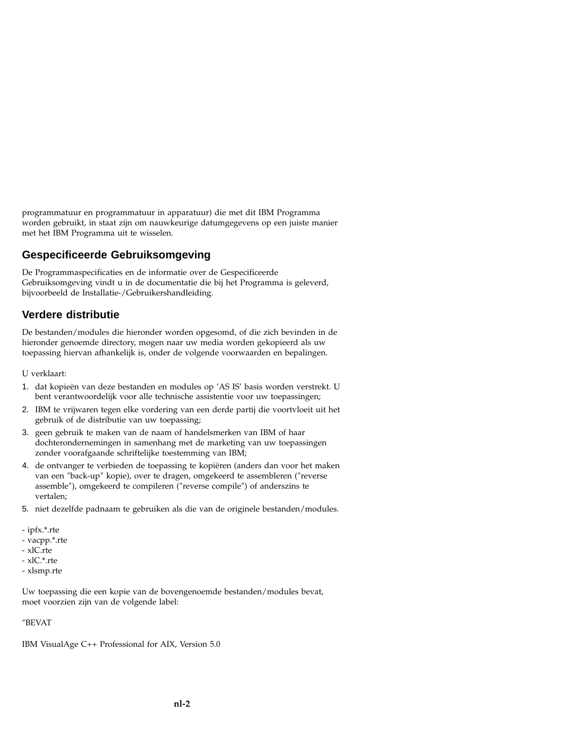programmatuur en programmatuur in apparatuur) die met dit IBM Programma worden gebruikt, in staat zijn om nauwkeurige datumgegevens op een juiste manier met het IBM Programma uit te wisselen.

## **Gespecificeerde Gebruiksomgeving**

De Programmaspecificaties en de informatie over de Gespecificeerde Gebruiksomgeving vindt u in de documentatie die bij het Programma is geleverd, bijvoorbeeld de Installatie-/Gebruikershandleiding.

# **Verdere distributie**

De bestanden/modules die hieronder worden opgesomd, of die zich bevinden in de hieronder genoemde directory, mogen naar uw media worden gekopieerd als uw toepassing hiervan afhankelijk is, onder de volgende voorwaarden en bepalingen.

U verklaart:

- 1. dat kopieën van deze bestanden en modules op 'AS IS' basis worden verstrekt. U bent verantwoordelijk voor alle technische assistentie voor uw toepassingen;
- 2. IBM te vrijwaren tegen elke vordering van een derde partij die voortvloeit uit het gebruik of de distributie van uw toepassing;
- 3. geen gebruik te maken van de naam of handelsmerken van IBM of haar dochterondernemingen in samenhang met de marketing van uw toepassingen zonder voorafgaande schriftelijke toestemming van IBM;
- 4. de ontvanger te verbieden de toepassing te kopiëren (anders dan voor het maken van een ″back-up″ kopie), over te dragen, omgekeerd te assembleren (″reverse assemble″), omgekeerd te compileren (″reverse compile″) of anderszins te vertalen;
- 5. niet dezelfde padnaam te gebruiken als die van de originele bestanden/modules.
- ipfx.\*.rte
- vacpp.\*.rte
- xlC.rte
- xlC.\*.rte
- xlsmp.rte

Uw toepassing die een kopie van de bovengenoemde bestanden/modules bevat, moet voorzien zijn van de volgende label:

#### ″BEVAT

IBM VisualAge C++ Professional for AIX, Version 5.0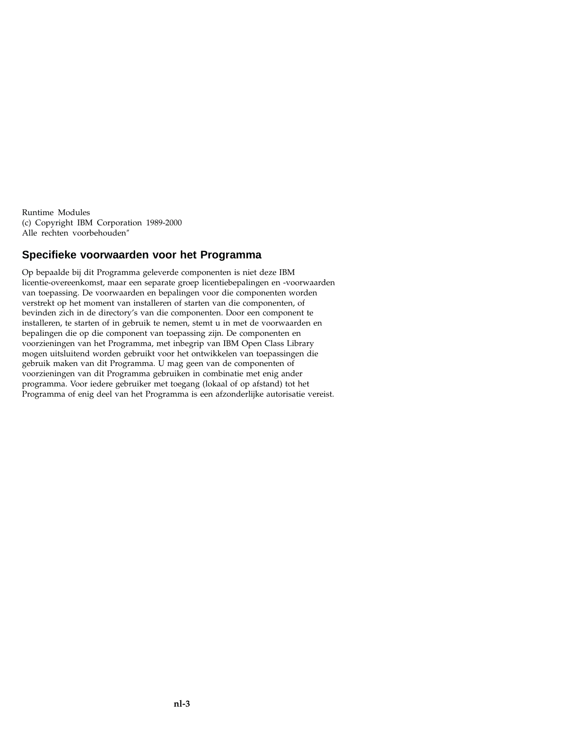Runtime Modules (c) Copyright IBM Corporation 1989-2000 Alle rechten voorbehouden″

## **Specifieke voorwaarden voor het Programma**

Op bepaalde bij dit Programma geleverde componenten is niet deze IBM licentie-overeenkomst, maar een separate groep licentiebepalingen en -voorwaarden van toepassing. De voorwaarden en bepalingen voor die componenten worden verstrekt op het moment van installeren of starten van die componenten, of bevinden zich in de directory's van die componenten. Door een component te installeren, te starten of in gebruik te nemen, stemt u in met de voorwaarden en bepalingen die op die component van toepassing zijn. De componenten en voorzieningen van het Programma, met inbegrip van IBM Open Class Library mogen uitsluitend worden gebruikt voor het ontwikkelen van toepassingen die gebruik maken van dit Programma. U mag geen van de componenten of voorzieningen van dit Programma gebruiken in combinatie met enig ander programma. Voor iedere gebruiker met toegang (lokaal of op afstand) tot het Programma of enig deel van het Programma is een afzonderlijke autorisatie vereist.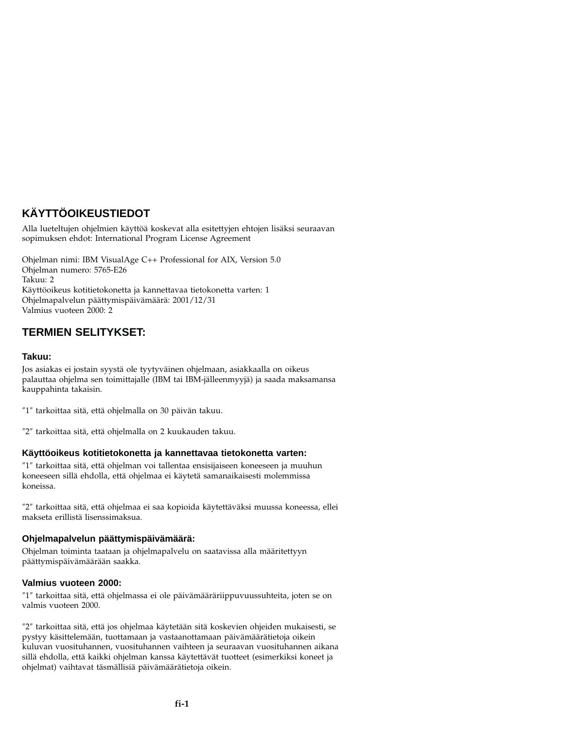# **KÄYTTÖOIKEUSTIEDOT**

Alla lueteltujen ohjelmien käyttöä koskevat alla esitettyjen ehtojen lisäksi seuraavan sopimuksen ehdot: International Program License Agreement

Ohjelman nimi: IBM VisualAge C++ Professional for AIX, Version 5.0 Ohjelman numero: 5765-E26 Takuu: 2 Käyttöoikeus kotitietokonetta ja kannettavaa tietokonetta varten: 1 Ohjelmapalvelun päättymispäivämäärä: 2001/12/31 Valmius vuoteen 2000: 2

# **TERMIEN SELITYKSET:**

### **Takuu:**

Jos asiakas ei jostain syystä ole tyytyväinen ohjelmaan, asiakkaalla on oikeus palauttaa ohjelma sen toimittajalle (IBM tai IBM-jälleenmyyjä) ja saada maksamansa kauppahinta takaisin.

″1″ tarkoittaa sitä, että ohjelmalla on 30 päivän takuu.

″2″ tarkoittaa sitä, että ohjelmalla on 2 kuukauden takuu.

### **Käyttöoikeus kotitietokonetta ja kannettavaa tietokonetta varten:**

″1″ tarkoittaa sitä, että ohjelman voi tallentaa ensisijaiseen koneeseen ja muuhun koneeseen sillä ehdolla, että ohjelmaa ei käytetä samanaikaisesti molemmissa koneissa.

″2″ tarkoittaa sitä, että ohjelmaa ei saa kopioida käytettäväksi muussa koneessa, ellei makseta erillistä lisenssimaksua.

### **Ohjelmapalvelun päättymispäivämäärä:**

Ohjelman toiminta taataan ja ohjelmapalvelu on saatavissa alla määritettyyn päättymispäivämäärään saakka.

### **Valmius vuoteen 2000:**

″1″ tarkoittaa sitä, että ohjelmassa ei ole päivämääräriippuvuussuhteita, joten se on valmis vuoteen 2000.

″2″ tarkoittaa sitä, että jos ohjelmaa käytetään sitä koskevien ohjeiden mukaisesti, se pystyy käsittelemään, tuottamaan ja vastaanottamaan päivämäärätietoja oikein kuluvan vuosituhannen, vuosituhannen vaihteen ja seuraavan vuosituhannen aikana sillä ehdolla, että kaikki ohjelman kanssa käytettävät tuotteet (esimerkiksi koneet ja ohjelmat) vaihtavat täsmällisiä päivämäärätietoja oikein.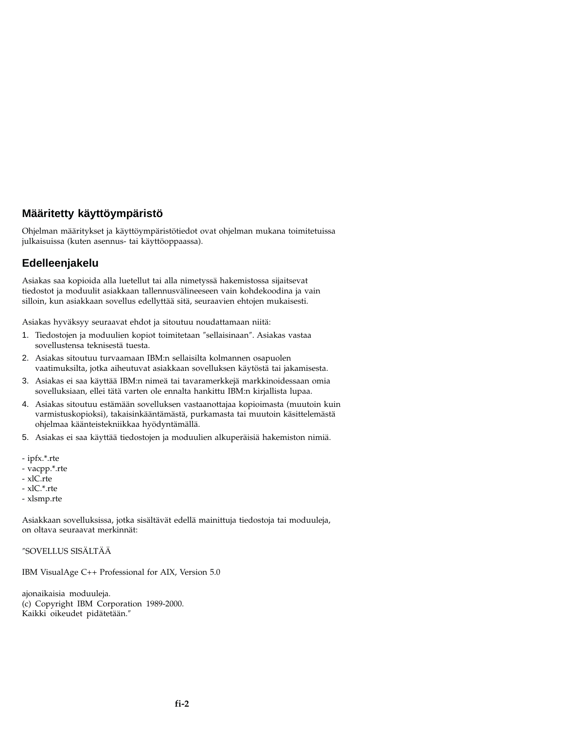## **Määritetty käyttöympäristö**

Ohjelman määritykset ja käyttöympäristötiedot ovat ohjelman mukana toimitetuissa julkaisuissa (kuten asennus- tai käyttöoppaassa).

## **Edelleenjakelu**

Asiakas saa kopioida alla luetellut tai alla nimetyssä hakemistossa sijaitsevat tiedostot ja moduulit asiakkaan tallennusvälineeseen vain kohdekoodina ja vain silloin, kun asiakkaan sovellus edellyttää sitä, seuraavien ehtojen mukaisesti.

Asiakas hyväksyy seuraavat ehdot ja sitoutuu noudattamaan niitä:

- 1. Tiedostojen ja moduulien kopiot toimitetaan ″sellaisinaan″. Asiakas vastaa sovellustensa teknisestä tuesta.
- 2. Asiakas sitoutuu turvaamaan IBM:n sellaisilta kolmannen osapuolen vaatimuksilta, jotka aiheutuvat asiakkaan sovelluksen käytöstä tai jakamisesta.
- 3. Asiakas ei saa käyttää IBM:n nimeä tai tavaramerkkejä markkinoidessaan omia sovelluksiaan, ellei tätä varten ole ennalta hankittu IBM:n kirjallista lupaa.
- 4. Asiakas sitoutuu estämään sovelluksen vastaanottajaa kopioimasta (muutoin kuin varmistuskopioksi), takaisinkääntämästä, purkamasta tai muutoin käsittelemästä ohjelmaa käänteistekniikkaa hyödyntämällä.
- 5. Asiakas ei saa käyttää tiedostojen ja moduulien alkuperäisiä hakemiston nimiä.
- ipfx.\*.rte
- vacpp.\*.rte
- xlC.rte
- xlC.\*.rte
- xlsmp.rte

Asiakkaan sovelluksissa, jotka sisältävät edellä mainittuja tiedostoja tai moduuleja, on oltava seuraavat merkinnät:

″SOVELLUS SISÄLTÄÄ

IBM VisualAge C++ Professional for AIX, Version 5.0

ajonaikaisia moduuleja. (c) Copyright IBM Corporation 1989-2000. Kaikki oikeudet pidätetään.″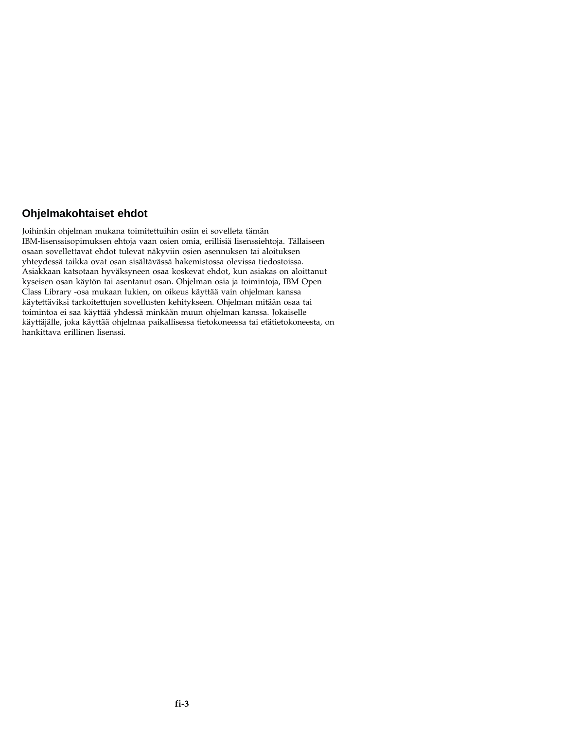# **Ohjelmakohtaiset ehdot**

Joihinkin ohjelman mukana toimitettuihin osiin ei sovelleta tämän IBM-lisenssisopimuksen ehtoja vaan osien omia, erillisiä lisenssiehtoja. Tällaiseen osaan sovellettavat ehdot tulevat näkyviin osien asennuksen tai aloituksen yhteydessä taikka ovat osan sisältävässä hakemistossa olevissa tiedostoissa. Asiakkaan katsotaan hyväksyneen osaa koskevat ehdot, kun asiakas on aloittanut kyseisen osan käytön tai asentanut osan. Ohjelman osia ja toimintoja, IBM Open Class Library -osa mukaan lukien, on oikeus käyttää vain ohjelman kanssa käytettäviksi tarkoitettujen sovellusten kehitykseen. Ohjelman mitään osaa tai toimintoa ei saa käyttää yhdessä minkään muun ohjelman kanssa. Jokaiselle käyttäjälle, joka käyttää ohjelmaa paikallisessa tietokoneessa tai etätietokoneesta, on hankittava erillinen lisenssi.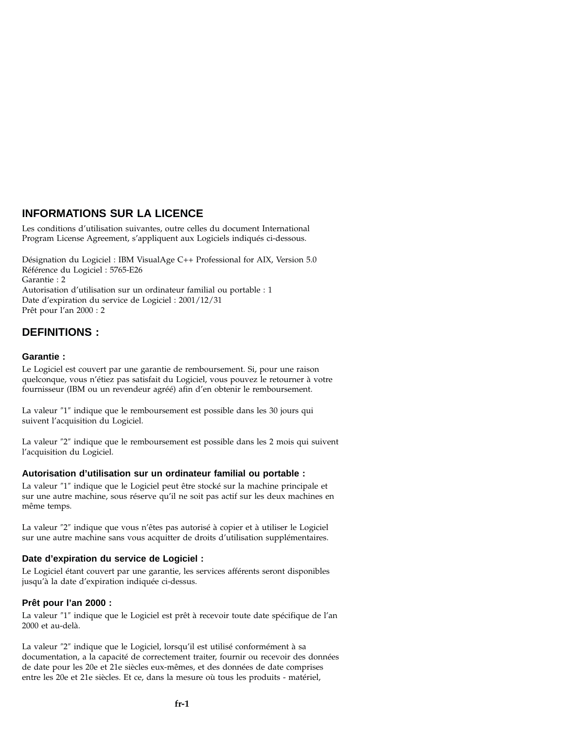# **INFORMATIONS SUR LA LICENCE**

Les conditions d'utilisation suivantes, outre celles du document International Program License Agreement, s'appliquent aux Logiciels indiqués ci-dessous.

Désignation du Logiciel : IBM VisualAge C++ Professional for AIX, Version 5.0 Référence du Logiciel : 5765-E26 Garantie : 2 Autorisation d'utilisation sur un ordinateur familial ou portable : 1 Date d'expiration du service de Logiciel : 2001/12/31 Prêt pour l'an 2000 : 2

## **DEFINITIONS :**

#### **Garantie :**

Le Logiciel est couvert par une garantie de remboursement. Si, pour une raison quelconque, vous n'étiez pas satisfait du Logiciel, vous pouvez le retourner à votre fournisseur (IBM ou un revendeur agréé) afin d'en obtenir le remboursement.

La valeur ″1″ indique que le remboursement est possible dans les 30 jours qui suivent l'acquisition du Logiciel.

La valeur ″2″ indique que le remboursement est possible dans les 2 mois qui suivent l'acquisition du Logiciel.

### **Autorisation d'utilisation sur un ordinateur familial ou portable :**

La valeur ″1″ indique que le Logiciel peut être stocké sur la machine principale et sur une autre machine, sous réserve qu'il ne soit pas actif sur les deux machines en même temps.

La valeur ″2″ indique que vous n'êtes pas autorisé à copier et à utiliser le Logiciel sur une autre machine sans vous acquitter de droits d'utilisation supplémentaires.

### **Date d'expiration du service de Logiciel :**

Le Logiciel étant couvert par une garantie, les services afférents seront disponibles jusqu'à la date d'expiration indiquée ci-dessus.

#### **Prêt pour l'an 2000 :**

La valeur ″1″ indique que le Logiciel est prêt à recevoir toute date spécifique de l'an 2000 et au-delà.

La valeur ″2″ indique que le Logiciel, lorsqu'il est utilisé conformément à sa documentation, a la capacité de correctement traiter, fournir ou recevoir des données de date pour les 20e et 21e siècles eux-mêmes, et des données de date comprises entre les 20e et 21e siècles. Et ce, dans la mesure où tous les produits - matériel,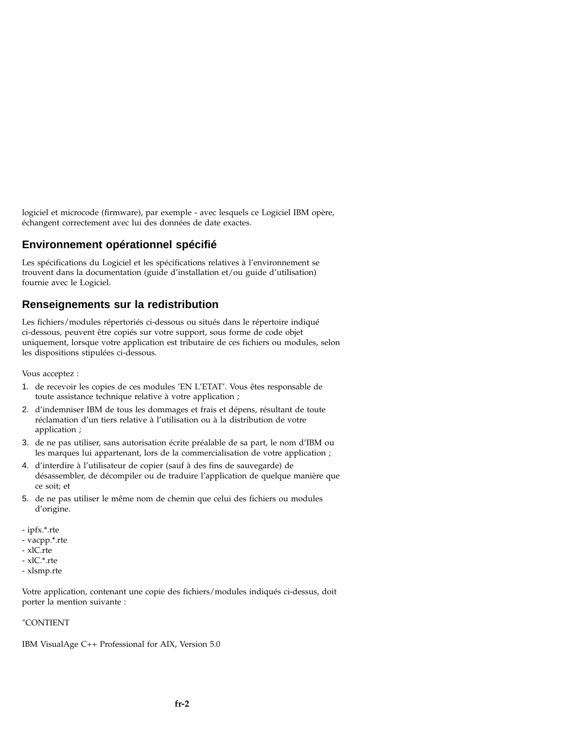logiciel et microcode (firmware), par exemple - avec lesquels ce Logiciel IBM opère, échangent correctement avec lui des données de date exactes.

## **Environnement opérationnel spécifié**

Les spécifications du Logiciel et les spécifications relatives à l'environnement se trouvent dans la documentation (guide d'installation et/ou guide d'utilisation) fournie avec le Logiciel.

## **Renseignements sur la redistribution**

Les fichiers/modules répertoriés ci-dessous ou situés dans le répertoire indiqué ci-dessous, peuvent être copiés sur votre support, sous forme de code objet uniquement, lorsque votre application est tributaire de ces fichiers ou modules, selon les dispositions stipulées ci-dessous.

Vous acceptez :

- 1. de recevoir les copies de ces modules 'EN L'ETAT'. Vous êtes responsable de toute assistance technique relative à votre application ;
- 2. d'indemniser IBM de tous les dommages et frais et dépens, résultant de toute réclamation d'un tiers relative à l'utilisation ou à la distribution de votre application ;
- 3. de ne pas utiliser, sans autorisation écrite préalable de sa part, le nom d'IBM ou les marques lui appartenant, lors de la commercialisation de votre application ;
- 4. d'interdire à l'utilisateur de copier (sauf à des fins de sauvegarde) de désassembler, de décompiler ou de traduire l'application de quelque manière que ce soit; et
- 5. de ne pas utiliser le même nom de chemin que celui des fichiers ou modules d'origine.
- ipfx.\*.rte
- vacpp.\*.rte
- xlC.rte
- xlC.\*.rte
- xlsmp.rte

Votre application, contenant une copie des fichiers/modules indiqués ci-dessus, doit porter la mention suivante :

#### ″CONTIENT

IBM VisualAge C++ Professional for AIX, Version 5.0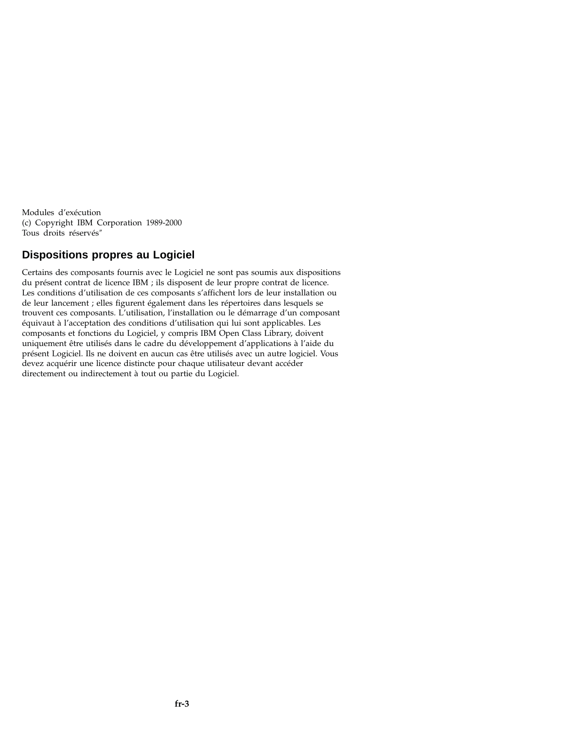Modules d'exécution (c) Copyright IBM Corporation 1989-2000 Tous droits réservés″

## **Dispositions propres au Logiciel**

Certains des composants fournis avec le Logiciel ne sont pas soumis aux dispositions du présent contrat de licence IBM ; ils disposent de leur propre contrat de licence. Les conditions d'utilisation de ces composants s'affichent lors de leur installation ou de leur lancement ; elles figurent également dans les répertoires dans lesquels se trouvent ces composants. L'utilisation, l'installation ou le démarrage d'un composant équivaut à l'acceptation des conditions d'utilisation qui lui sont applicables. Les composants et fonctions du Logiciel, y compris IBM Open Class Library, doivent uniquement être utilisés dans le cadre du développement d'applications à l'aide du présent Logiciel. Ils ne doivent en aucun cas être utilisés avec un autre logiciel. Vous devez acquérir une licence distincte pour chaque utilisateur devant accéder directement ou indirectement à tout ou partie du Logiciel.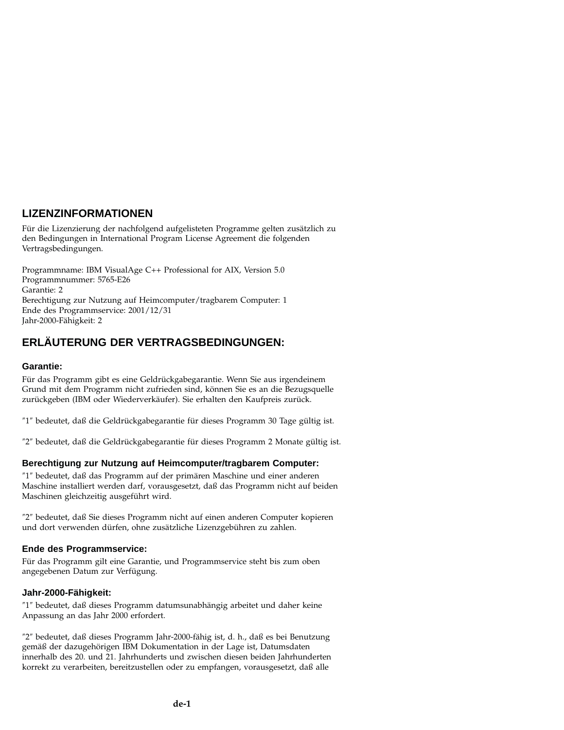# **LIZENZINFORMATIONEN**

Für die Lizenzierung der nachfolgend aufgelisteten Programme gelten zusätzlich zu den Bedingungen in International Program License Agreement die folgenden Vertragsbedingungen.

Programmname: IBM VisualAge C++ Professional for AIX, Version 5.0 Programmnummer: 5765-E26 Garantie: 2 Berechtigung zur Nutzung auf Heimcomputer/tragbarem Computer: 1 Ende des Programmservice: 2001/12/31 Jahr-2000-Fähigkeit: 2

# **ERLÄUTERUNG DER VERTRAGSBEDINGUNGEN:**

#### **Garantie:**

Für das Programm gibt es eine Geldrückgabegarantie. Wenn Sie aus irgendeinem Grund mit dem Programm nicht zufrieden sind, können Sie es an die Bezugsquelle zurückgeben (IBM oder Wiederverkäufer). Sie erhalten den Kaufpreis zurück.

″1″ bedeutet, daß die Geldrückgabegarantie für dieses Programm 30 Tage gültig ist.

″2″ bedeutet, daß die Geldrückgabegarantie für dieses Programm 2 Monate gültig ist.

### **Berechtigung zur Nutzung auf Heimcomputer/tragbarem Computer:**

″1″ bedeutet, daß das Programm auf der primären Maschine und einer anderen Maschine installiert werden darf, vorausgesetzt, daß das Programm nicht auf beiden Maschinen gleichzeitig ausgeführt wird.

″2″ bedeutet, daß Sie dieses Programm nicht auf einen anderen Computer kopieren und dort verwenden dürfen, ohne zusätzliche Lizenzgebühren zu zahlen.

#### **Ende des Programmservice:**

Für das Programm gilt eine Garantie, und Programmservice steht bis zum oben angegebenen Datum zur Verfügung.

### **Jahr-2000-Fähigkeit:**

″1″ bedeutet, daß dieses Programm datumsunabhängig arbeitet und daher keine Anpassung an das Jahr 2000 erfordert.

″2″ bedeutet, daß dieses Programm Jahr-2000-fähig ist, d. h., daß es bei Benutzung gemäß der dazugehörigen IBM Dokumentation in der Lage ist, Datumsdaten innerhalb des 20. und 21. Jahrhunderts und zwischen diesen beiden Jahrhunderten korrekt zu verarbeiten, bereitzustellen oder zu empfangen, vorausgesetzt, daß alle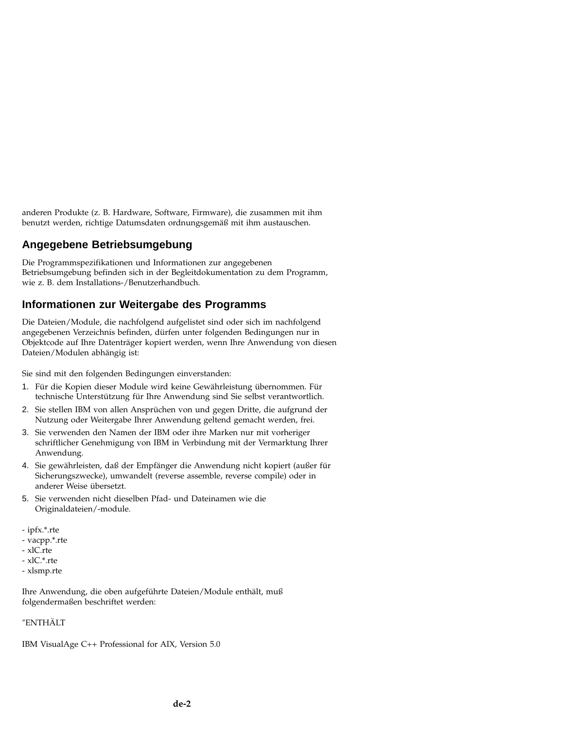anderen Produkte (z. B. Hardware, Software, Firmware), die zusammen mit ihm benutzt werden, richtige Datumsdaten ordnungsgemäß mit ihm austauschen.

# **Angegebene Betriebsumgebung**

Die Programmspezifikationen und Informationen zur angegebenen Betriebsumgebung befinden sich in der Begleitdokumentation zu dem Programm, wie z. B. dem Installations-/Benutzerhandbuch.

## **Informationen zur Weitergabe des Programms**

Die Dateien/Module, die nachfolgend aufgelistet sind oder sich im nachfolgend angegebenen Verzeichnis befinden, dürfen unter folgenden Bedingungen nur in Objektcode auf Ihre Datenträger kopiert werden, wenn Ihre Anwendung von diesen Dateien/Modulen abhängig ist:

Sie sind mit den folgenden Bedingungen einverstanden:

- 1. Für die Kopien dieser Module wird keine Gewährleistung übernommen. Für technische Unterstützung für Ihre Anwendung sind Sie selbst verantwortlich.
- 2. Sie stellen IBM von allen Ansprüchen von und gegen Dritte, die aufgrund der Nutzung oder Weitergabe Ihrer Anwendung geltend gemacht werden, frei.
- 3. Sie verwenden den Namen der IBM oder ihre Marken nur mit vorheriger schriftlicher Genehmigung von IBM in Verbindung mit der Vermarktung Ihrer Anwendung.
- 4. Sie gewährleisten, daß der Empfänger die Anwendung nicht kopiert (außer für Sicherungszwecke), umwandelt (reverse assemble, reverse compile) oder in anderer Weise übersetzt.
- 5. Sie verwenden nicht dieselben Pfad- und Dateinamen wie die Originaldateien/-module.
- ipfx.\*.rte
- vacpp.\*.rte
- xlC.rte
- xlC.\*.rte
- xlsmp.rte

Ihre Anwendung, die oben aufgeführte Dateien/Module enthält, muß folgendermaßen beschriftet werden:

#### ″ENTHÄLT

IBM VisualAge C++ Professional for AIX, Version 5.0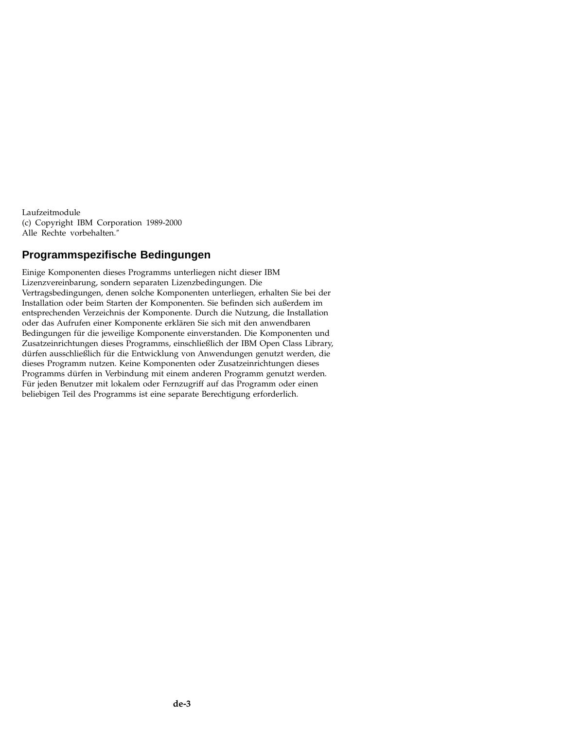Laufzeitmodule (c) Copyright IBM Corporation 1989-2000 Alle Rechte vorbehalten.″

## **Programmspezifische Bedingungen**

Einige Komponenten dieses Programms unterliegen nicht dieser IBM Lizenzvereinbarung, sondern separaten Lizenzbedingungen. Die Vertragsbedingungen, denen solche Komponenten unterliegen, erhalten Sie bei der Installation oder beim Starten der Komponenten. Sie befinden sich außerdem im entsprechenden Verzeichnis der Komponente. Durch die Nutzung, die Installation oder das Aufrufen einer Komponente erklären Sie sich mit den anwendbaren Bedingungen für die jeweilige Komponente einverstanden. Die Komponenten und Zusatzeinrichtungen dieses Programms, einschließlich der IBM Open Class Library, dürfen ausschließlich für die Entwicklung von Anwendungen genutzt werden, die dieses Programm nutzen. Keine Komponenten oder Zusatzeinrichtungen dieses Programms dürfen in Verbindung mit einem anderen Programm genutzt werden. Für jeden Benutzer mit lokalem oder Fernzugriff auf das Programm oder einen beliebigen Teil des Programms ist eine separate Berechtigung erforderlich.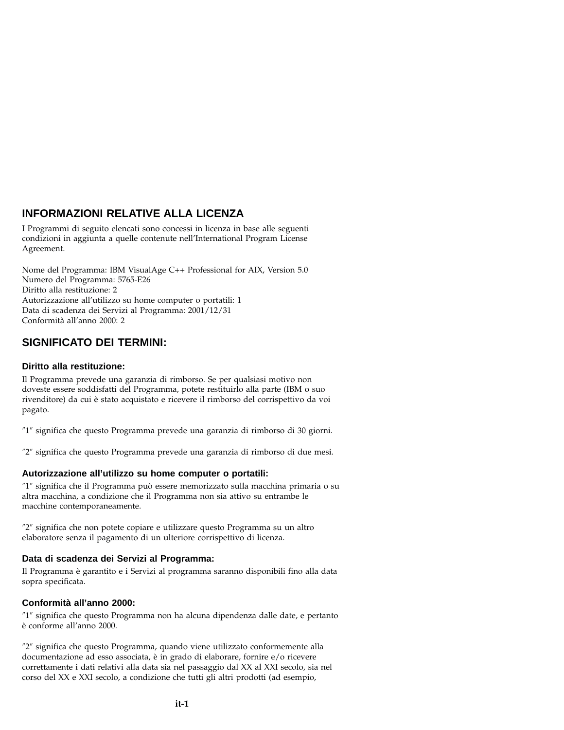# **INFORMAZIONI RELATIVE ALLA LICENZA**

I Programmi di seguito elencati sono concessi in licenza in base alle seguenti condizioni in aggiunta a quelle contenute nell'International Program License Agreement.

Nome del Programma: IBM VisualAge C++ Professional for AIX, Version 5.0 Numero del Programma: 5765-E26 Diritto alla restituzione: 2 Autorizzazione all'utilizzo su home computer o portatili: 1 Data di scadenza dei Servizi al Programma: 2001/12/31 Conformità all'anno 2000: 2

## **SIGNIFICATO DEI TERMINI:**

### **Diritto alla restituzione:**

Il Programma prevede una garanzia di rimborso. Se per qualsiasi motivo non doveste essere soddisfatti del Programma, potete restituirlo alla parte (IBM o suo rivenditore) da cui è stato acquistato e ricevere il rimborso del corrispettivo da voi pagato.

″1″ significa che questo Programma prevede una garanzia di rimborso di 30 giorni.

″2″ significa che questo Programma prevede una garanzia di rimborso di due mesi.

### **Autorizzazione all'utilizzo su home computer o portatili:**

″1″ significa che il Programma può essere memorizzato sulla macchina primaria o su altra macchina, a condizione che il Programma non sia attivo su entrambe le macchine contemporaneamente.

″2″ significa che non potete copiare e utilizzare questo Programma su un altro elaboratore senza il pagamento di un ulteriore corrispettivo di licenza.

### **Data di scadenza dei Servizi al Programma:**

Il Programma è garantito e i Servizi al programma saranno disponibili fino alla data sopra specificata.

### **Conformità all'anno 2000:**

″1″ significa che questo Programma non ha alcuna dipendenza dalle date, e pertanto è conforme all'anno 2000.

″2″ significa che questo Programma, quando viene utilizzato conformemente alla documentazione ad esso associata, è in grado di elaborare, fornire e/o ricevere correttamente i dati relativi alla data sia nel passaggio dal XX al XXI secolo, sia nel corso del XX e XXI secolo, a condizione che tutti gli altri prodotti (ad esempio,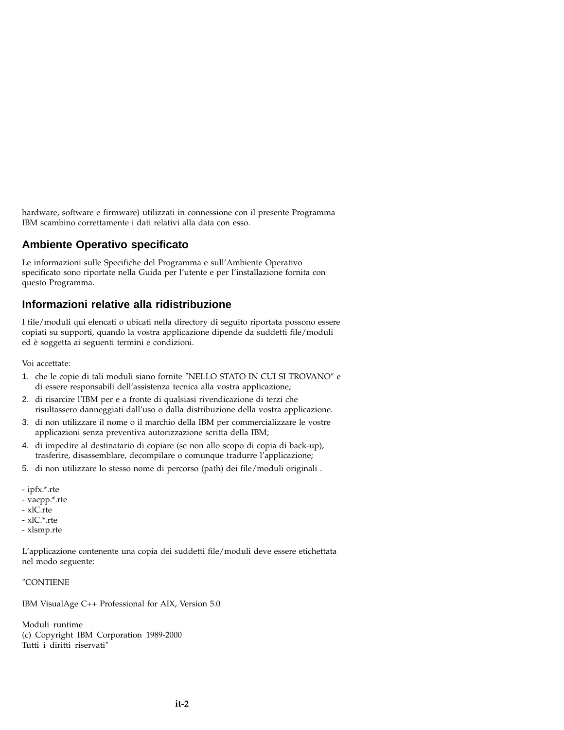hardware, software e firmware) utilizzati in connessione con il presente Programma IBM scambino correttamente i dati relativi alla data con esso.

## **Ambiente Operativo specificato**

Le informazioni sulle Specifiche del Programma e sull'Ambiente Operativo specificato sono riportate nella Guida per l'utente e per l'installazione fornita con questo Programma.

## **Informazioni relative alla ridistribuzione**

I file/moduli qui elencati o ubicati nella directory di seguito riportata possono essere copiati su supporti, quando la vostra applicazione dipende da suddetti file/moduli ed è soggetta ai seguenti termini e condizioni.

Voi accettate:

- 1. che le copie di tali moduli siano fornite ″NELLO STATO IN CUI SI TROVANO″ e di essere responsabili dell'assistenza tecnica alla vostra applicazione;
- 2. di risarcire l'IBM per e a fronte di qualsiasi rivendicazione di terzi che risultassero danneggiati dall'uso o dalla distribuzione della vostra applicazione.
- 3. di non utilizzare il nome o il marchio della IBM per commercializzare le vostre applicazioni senza preventiva autorizzazione scritta della IBM;
- 4. di impedire al destinatario di copiare (se non allo scopo di copia di back-up), trasferire, disassemblare, decompilare o comunque tradurre l'applicazione;
- 5. di non utilizzare lo stesso nome di percorso (path) dei file/moduli originali .
- ipfx.\*.rte
- vacpp.\*.rte
- xlC.rte
- xlC.\*.rte
- xlsmp.rte

L'applicazione contenente una copia dei suddetti file/moduli deve essere etichettata nel modo seguente:

#### ″CONTIENE

IBM VisualAge C++ Professional for AIX, Version 5.0

Moduli runtime (c) Copyright IBM Corporation 1989-2000 Tutti i diritti riservati″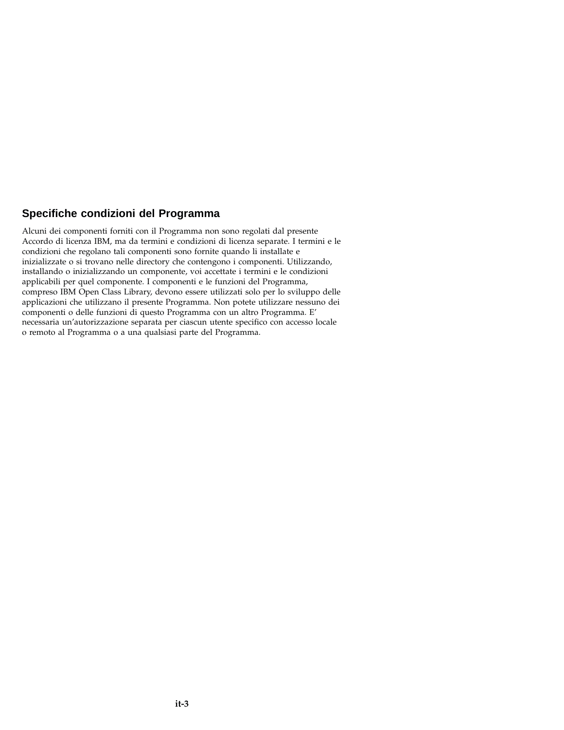## **Specifiche condizioni del Programma**

Alcuni dei componenti forniti con il Programma non sono regolati dal presente Accordo di licenza IBM, ma da termini e condizioni di licenza separate. I termini e le condizioni che regolano tali componenti sono fornite quando li installate e inizializzate o si trovano nelle directory che contengono i componenti. Utilizzando, installando o inizializzando un componente, voi accettate i termini e le condizioni applicabili per quel componente. I componenti e le funzioni del Programma, compreso IBM Open Class Library, devono essere utilizzati solo per lo sviluppo delle applicazioni che utilizzano il presente Programma. Non potete utilizzare nessuno dei componenti o delle funzioni di questo Programma con un altro Programma. E' necessaria un'autorizzazione separata per ciascun utente specifico con accesso locale o remoto al Programma o a una qualsiasi parte del Programma.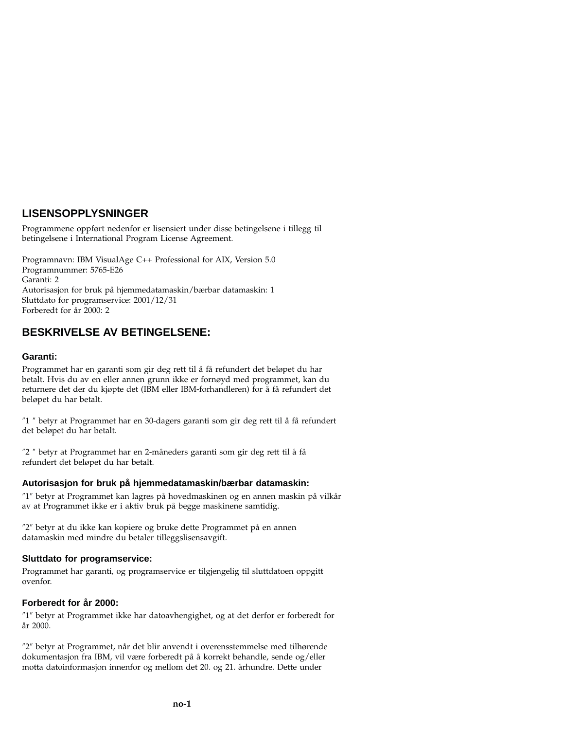# **LISENSOPPLYSNINGER**

Programmene oppført nedenfor er lisensiert under disse betingelsene i tillegg til betingelsene i International Program License Agreement.

Programnavn: IBM VisualAge C++ Professional for AIX, Version 5.0 Programnummer: 5765-E26 Garanti: 2 Autorisasjon for bruk på hjemmedatamaskin/bærbar datamaskin: 1 Sluttdato for programservice: 2001/12/31 Forberedt for år 2000: 2

## **BESKRIVELSE AV BETINGELSENE:**

#### **Garanti:**

Programmet har en garanti som gir deg rett til å få refundert det beløpet du har betalt. Hvis du av en eller annen grunn ikke er fornøyd med programmet, kan du returnere det der du kjøpte det (IBM eller IBM-forhandleren) for å få refundert det beløpet du har betalt.

″1 ″ betyr at Programmet har en 30-dagers garanti som gir deg rett til å få refundert det beløpet du har betalt.

″2 ″ betyr at Programmet har en 2-måneders garanti som gir deg rett til å få refundert det beløpet du har betalt.

#### **Autorisasjon for bruk på hjemmedatamaskin/bærbar datamaskin:**

″1″ betyr at Programmet kan lagres på hovedmaskinen og en annen maskin på vilkår av at Programmet ikke er i aktiv bruk på begge maskinene samtidig.

″2″ betyr at du ikke kan kopiere og bruke dette Programmet på en annen datamaskin med mindre du betaler tilleggslisensavgift.

#### **Sluttdato for programservice:**

Programmet har garanti, og programservice er tilgjengelig til sluttdatoen oppgitt ovenfor.

#### **Forberedt for år 2000:**

″1″ betyr at Programmet ikke har datoavhengighet, og at det derfor er forberedt for år 2000.

″2″ betyr at Programmet, når det blir anvendt i overensstemmelse med tilhørende dokumentasjon fra IBM, vil være forberedt på å korrekt behandle, sende og/eller motta datoinformasjon innenfor og mellom det 20. og 21. århundre. Dette under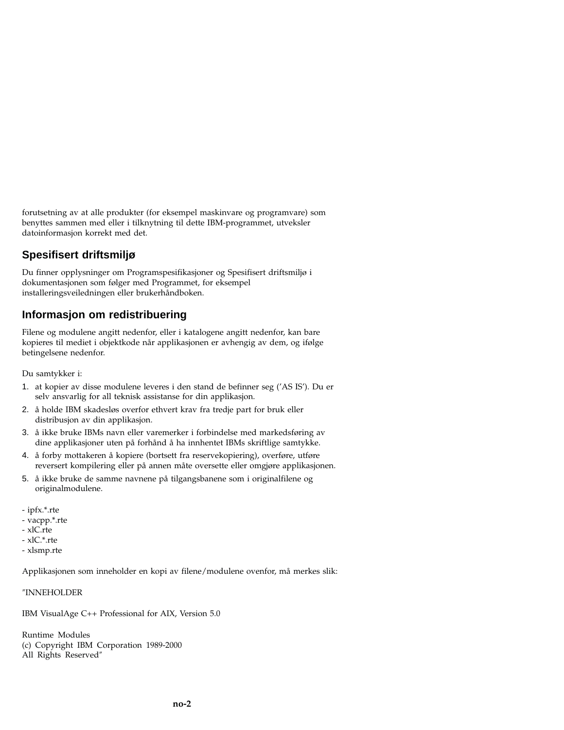forutsetning av at alle produkter (for eksempel maskinvare og programvare) som benyttes sammen med eller i tilknytning til dette IBM-programmet, utveksler datoinformasjon korrekt med det.

# **Spesifisert driftsmiljø**

Du finner opplysninger om Programspesifikasjoner og Spesifisert driftsmiljø i dokumentasjonen som følger med Programmet, for eksempel installeringsveiledningen eller brukerhåndboken.

# **Informasjon om redistribuering**

Filene og modulene angitt nedenfor, eller i katalogene angitt nedenfor, kan bare kopieres til mediet i objektkode når applikasjonen er avhengig av dem, og ifølge betingelsene nedenfor.

Du samtykker i:

- 1. at kopier av disse modulene leveres i den stand de befinner seg ('AS IS'). Du er selv ansvarlig for all teknisk assistanse for din applikasjon.
- 2. å holde IBM skadesløs overfor ethvert krav fra tredje part for bruk eller distribusjon av din applikasjon.
- 3. å ikke bruke IBMs navn eller varemerker i forbindelse med markedsføring av dine applikasjoner uten på forhånd å ha innhentet IBMs skriftlige samtykke.
- 4. å forby mottakeren å kopiere (bortsett fra reservekopiering), overføre, utføre reversert kompilering eller på annen måte oversette eller omgjøre applikasjonen.
- 5. å ikke bruke de samme navnene på tilgangsbanene som i originalfilene og originalmodulene.
- ipfx.\*.rte
- vacpp.\*.rte
- xlC.rte
- xlC.\*.rte
- xlsmp.rte

Applikasjonen som inneholder en kopi av filene/modulene ovenfor, må merkes slik:

″INNEHOLDER

IBM VisualAge C++ Professional for AIX, Version 5.0

Runtime Modules (c) Copyright IBM Corporation 1989-2000 All Rights Reserved″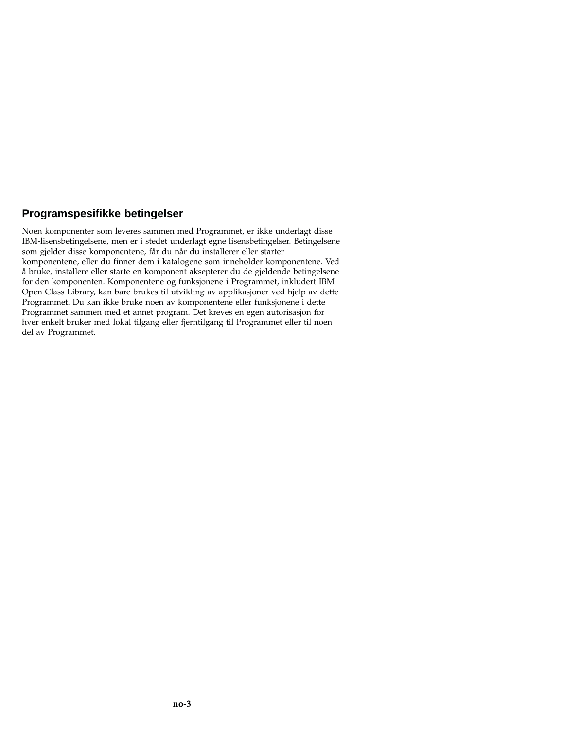## **Programspesifikke betingelser**

Noen komponenter som leveres sammen med Programmet, er ikke underlagt disse IBM-lisensbetingelsene, men er i stedet underlagt egne lisensbetingelser. Betingelsene som gjelder disse komponentene, får du når du installerer eller starter komponentene, eller du finner dem i katalogene som inneholder komponentene. Ved å bruke, installere eller starte en komponent aksepterer du de gjeldende betingelsene for den komponenten. Komponentene og funksjonene i Programmet, inkludert IBM Open Class Library, kan bare brukes til utvikling av applikasjoner ved hjelp av dette Programmet. Du kan ikke bruke noen av komponentene eller funksjonene i dette Programmet sammen med et annet program. Det kreves en egen autorisasjon for hver enkelt bruker med lokal tilgang eller fjerntilgang til Programmet eller til noen del av Programmet.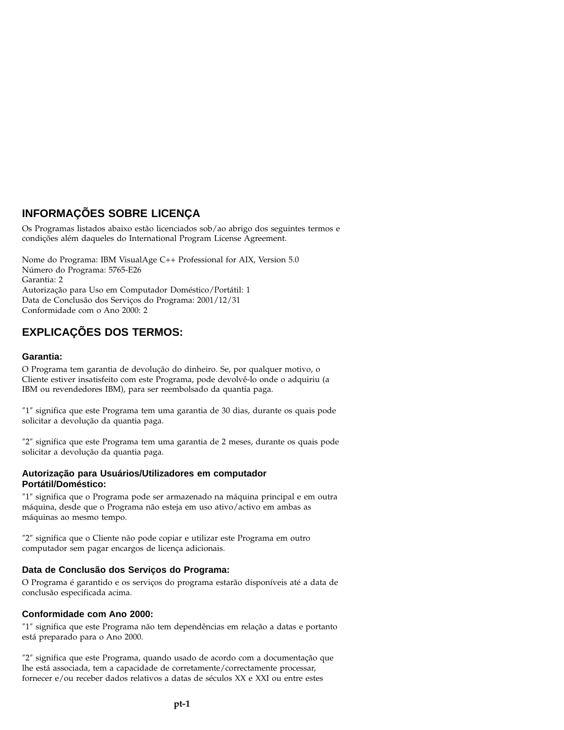# **INFORMAÇÕES SOBRE LICENÇA**

Os Programas listados abaixo estão licenciados sob/ao abrigo dos seguintes termos e condições além daqueles do International Program License Agreement.

Nome do Programa: IBM VisualAge C++ Professional for AIX, Version 5.0 Número do Programa: 5765-E26 Garantia: 2 Autorização para Uso em Computador Doméstico/Portátil: 1 Data de Conclusão dos Serviços do Programa: 2001/12/31 Conformidade com o Ano 2000: 2

# **EXPLICAÇÕES DOS TERMOS:**

#### **Garantia:**

O Programa tem garantia de devolução do dinheiro. Se, por qualquer motivo, o Cliente estiver insatisfeito com este Programa, pode devolvê-lo onde o adquiriu (a IBM ou revendedores IBM), para ser reembolsado da quantia paga.

″1″ significa que este Programa tem uma garantia de 30 dias, durante os quais pode solicitar a devolução da quantia paga.

″2″ significa que este Programa tem uma garantia de 2 meses, durante os quais pode solicitar a devolução da quantia paga.

#### **Autorização para Usuários/Utilizadores em computador Portátil/Doméstico:**

″1″ significa que o Programa pode ser armazenado na máquina principal e em outra máquina, desde que o Programa não esteja em uso ativo/activo em ambas as máquinas ao mesmo tempo.

″2″ significa que o Cliente não pode copiar e utilizar este Programa em outro computador sem pagar encargos de licença adicionais.

### **Data de Conclusão dos Serviços do Programa:**

O Programa é garantido e os serviços do programa estarão disponíveis até a data de conclusão especificada acima.

#### **Conformidade com Ano 2000:**

″1″ significa que este Programa não tem dependências em relação a datas e portanto está preparado para o Ano 2000.

″2″ significa que este Programa, quando usado de acordo com a documentação que lhe está associada, tem a capacidade de corretamente/correctamente processar, fornecer e/ou receber dados relativos a datas de séculos XX e XXI ou entre estes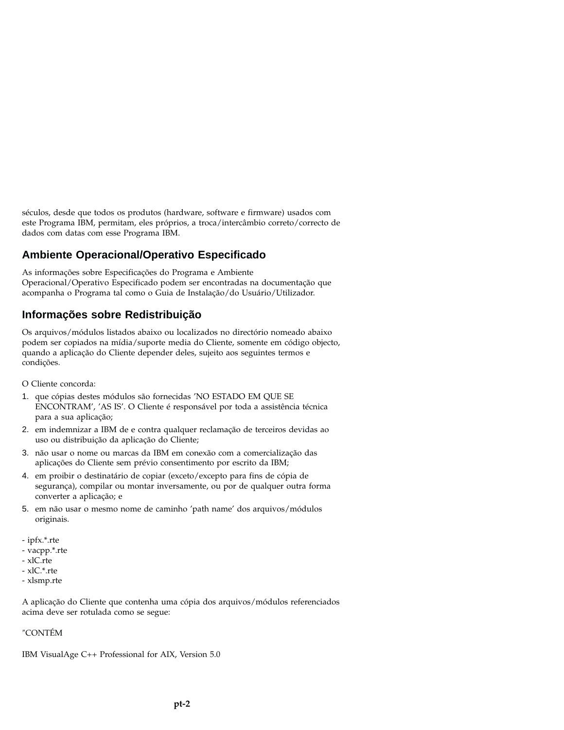séculos, desde que todos os produtos (hardware, software e firmware) usados com este Programa IBM, permitam, eles próprios, a troca/intercâmbio correto/correcto de dados com datas com esse Programa IBM.

## **Ambiente Operacional/Operativo Especificado**

As informações sobre Especificações do Programa e Ambiente Operacional/Operativo Especificado podem ser encontradas na documentação que acompanha o Programa tal como o Guia de Instalação/do Usuário/Utilizador.

## **Informações sobre Redistribuição**

Os arquivos/módulos listados abaixo ou localizados no directório nomeado abaixo podem ser copiados na mídia/suporte media do Cliente, somente em código objecto, quando a aplicação do Cliente depender deles, sujeito aos seguintes termos e condições.

- O Cliente concorda:
- 1. que cópias destes módulos são fornecidas 'NO ESTADO EM QUE SE ENCONTRAM', 'AS IS'. O Cliente é responsável por toda a assistência técnica para a sua aplicação;
- 2. em indemnizar a IBM de e contra qualquer reclamação de terceiros devidas ao uso ou distribuição da aplicação do Cliente;
- 3. não usar o nome ou marcas da IBM em conexão com a comercialização das aplicações do Cliente sem prévio consentimento por escrito da IBM;
- 4. em proibir o destinatário de copiar (exceto/excepto para fins de cópia de segurança), compilar ou montar inversamente, ou por de qualquer outra forma converter a aplicação; e
- 5. em não usar o mesmo nome de caminho 'path name' dos arquivos/módulos originais.
- ipfx.\*.rte
- vacpp.\*.rte
- xlC.rte
- xlC.\*.rte
- xlsmp.rte

A aplicação do Cliente que contenha uma cópia dos arquivos/módulos referenciados acima deve ser rotulada como se segue:

″CONTÉM

IBM VisualAge C++ Professional for AIX, Version 5.0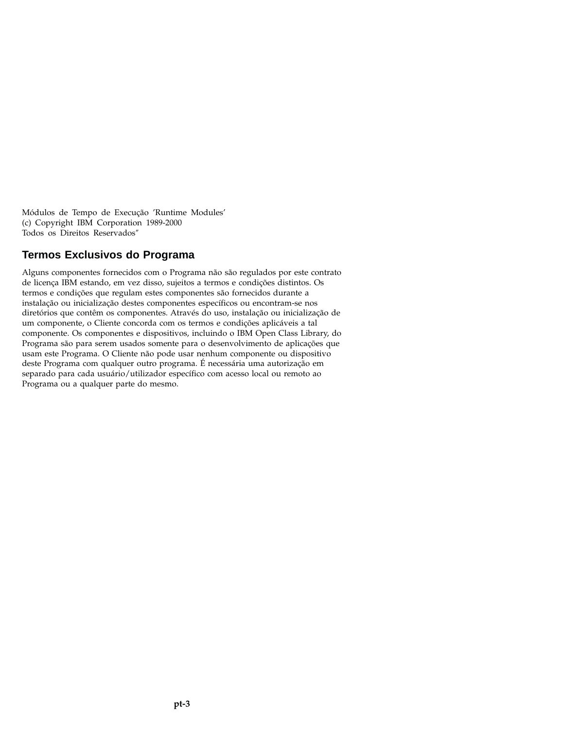Módulos de Tempo de Execução 'Runtime Modules' (c) Copyright IBM Corporation 1989-2000 Todos os Direitos Reservados″

### **Termos Exclusivos do Programa**

Alguns componentes fornecidos com o Programa não são regulados por este contrato de licença IBM estando, em vez disso, sujeitos a termos e condições distintos. Os termos e condições que regulam estes componentes são fornecidos durante a instalação ou inicialização destes componentes específicos ou encontram-se nos diretórios que contêm os componentes. Através do uso, instalação ou inicialização de um componente, o Cliente concorda com os termos e condições aplicáveis a tal componente. Os componentes e dispositivos, incluindo o IBM Open Class Library, do Programa são para serem usados somente para o desenvolvimento de aplicações que usam este Programa. O Cliente não pode usar nenhum componente ou dispositivo deste Programa com qualquer outro programa. É necessária uma autorização em separado para cada usuário/utilizador específico com acesso local ou remoto ao Programa ou a qualquer parte do mesmo.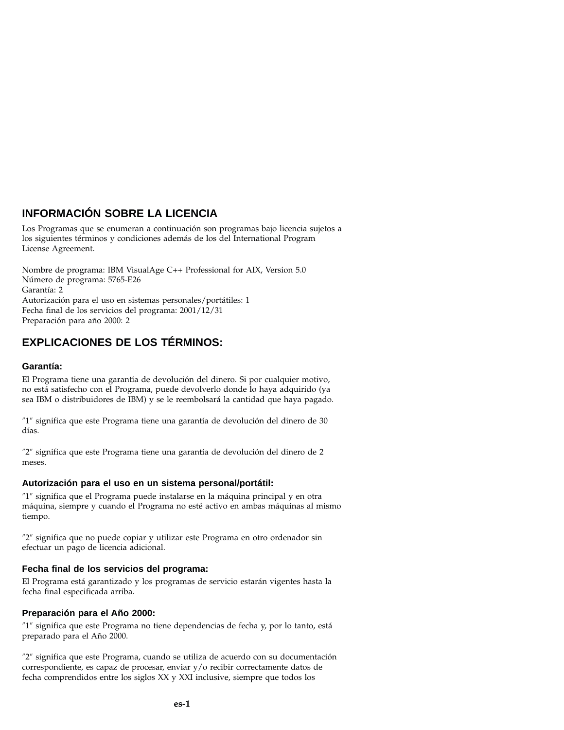# **INFORMACIÓN SOBRE LA LICENCIA**

Los Programas que se enumeran a continuación son programas bajo licencia sujetos a los siguientes términos y condiciones además de los del International Program License Agreement.

Nombre de programa: IBM VisualAge C++ Professional for AIX, Version 5.0 Número de programa: 5765-E26 Garantía: 2 Autorización para el uso en sistemas personales/portátiles: 1 Fecha final de los servicios del programa: 2001/12/31 Preparación para año 2000: 2

# **EXPLICACIONES DE LOS TÉRMINOS:**

#### **Garantía:**

El Programa tiene una garantía de devolución del dinero. Si por cualquier motivo, no está satisfecho con el Programa, puede devolverlo donde lo haya adquirido (ya sea IBM o distribuidores de IBM) y se le reembolsará la cantidad que haya pagado.

″1″ significa que este Programa tiene una garantía de devolución del dinero de 30 días.

″2″ significa que este Programa tiene una garantía de devolución del dinero de 2 meses.

#### **Autorización para el uso en un sistema personal/portátil:**

″1″ significa que el Programa puede instalarse en la máquina principal y en otra máquina, siempre y cuando el Programa no esté activo en ambas máquinas al mismo tiempo.

″2″ significa que no puede copiar y utilizar este Programa en otro ordenador sin efectuar un pago de licencia adicional.

#### **Fecha final de los servicios del programa:**

El Programa está garantizado y los programas de servicio estarán vigentes hasta la fecha final especificada arriba.

#### **Preparación para el Año 2000:**

″1″ significa que este Programa no tiene dependencias de fecha y, por lo tanto, está preparado para el Año 2000.

″2″ significa que este Programa, cuando se utiliza de acuerdo con su documentación correspondiente, es capaz de procesar, enviar y/o recibir correctamente datos de fecha comprendidos entre los siglos XX y XXI inclusive, siempre que todos los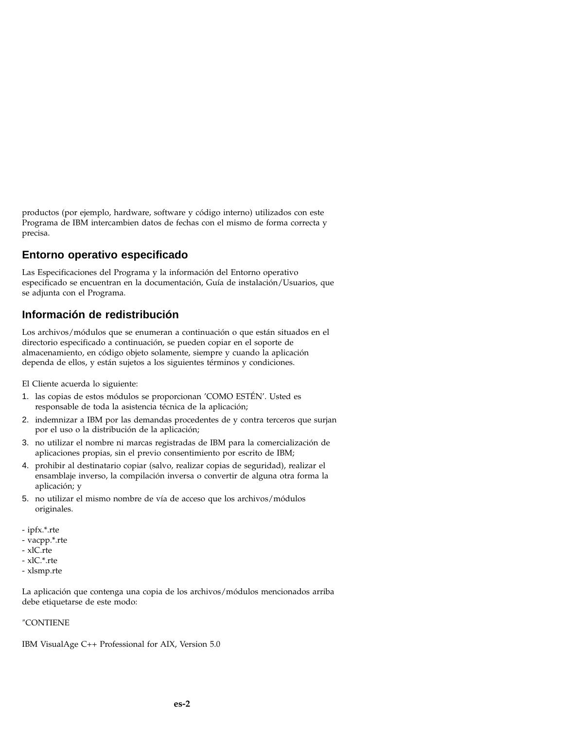productos (por ejemplo, hardware, software y código interno) utilizados con este Programa de IBM intercambien datos de fechas con el mismo de forma correcta y precisa.

## **Entorno operativo especificado**

Las Especificaciones del Programa y la información del Entorno operativo especificado se encuentran en la documentación, Guía de instalación/Usuarios, que se adjunta con el Programa.

# **Información de redistribución**

Los archivos/módulos que se enumeran a continuación o que están situados en el directorio especificado a continuación, se pueden copiar en el soporte de almacenamiento, en código objeto solamente, siempre y cuando la aplicación dependa de ellos, y están sujetos a los siguientes términos y condiciones.

El Cliente acuerda lo siguiente:

- 1. las copias de estos módulos se proporcionan 'COMO ESTÉN'. Usted es responsable de toda la asistencia técnica de la aplicación;
- 2. indemnizar a IBM por las demandas procedentes de y contra terceros que surjan por el uso o la distribución de la aplicación;
- 3. no utilizar el nombre ni marcas registradas de IBM para la comercialización de aplicaciones propias, sin el previo consentimiento por escrito de IBM;
- 4. prohibir al destinatario copiar (salvo, realizar copias de seguridad), realizar el ensamblaje inverso, la compilación inversa o convertir de alguna otra forma la aplicación; y
- 5. no utilizar el mismo nombre de vía de acceso que los archivos/módulos originales.
- ipfx.\*.rte
- vacpp.\*.rte
- xlC.rte
- xlC.\*.rte
- xlsmp.rte

La aplicación que contenga una copia de los archivos/módulos mencionados arriba debe etiquetarse de este modo:

#### ″CONTIENE

IBM VisualAge C++ Professional for AIX, Version 5.0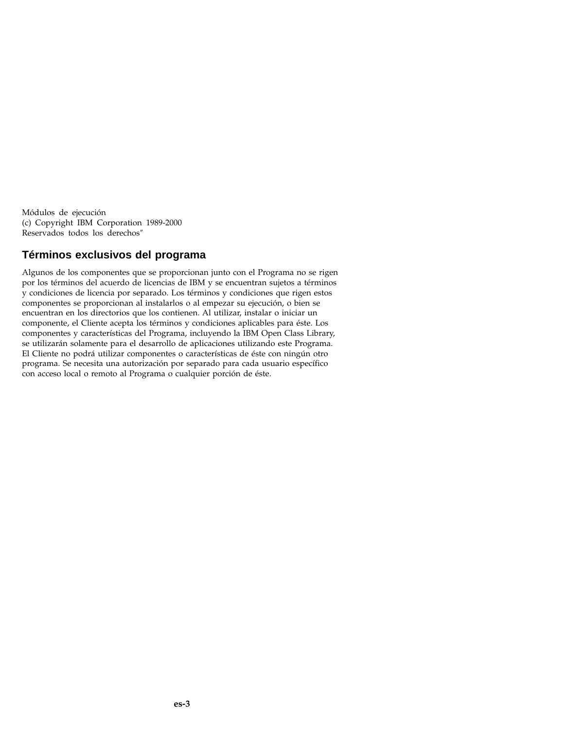Módulos de ejecución (c) Copyright IBM Corporation 1989-2000 Reservados todos los derechos″

## **Términos exclusivos del programa**

Algunos de los componentes que se proporcionan junto con el Programa no se rigen por los términos del acuerdo de licencias de IBM y se encuentran sujetos a términos y condiciones de licencia por separado. Los términos y condiciones que rigen estos componentes se proporcionan al instalarlos o al empezar su ejecución, o bien se encuentran en los directorios que los contienen. Al utilizar, instalar o iniciar un componente, el Cliente acepta los términos y condiciones aplicables para éste. Los componentes y características del Programa, incluyendo la IBM Open Class Library, se utilizarán solamente para el desarrollo de aplicaciones utilizando este Programa. El Cliente no podrá utilizar componentes o características de éste con ningún otro programa. Se necesita una autorización por separado para cada usuario específico con acceso local o remoto al Programa o cualquier porción de éste.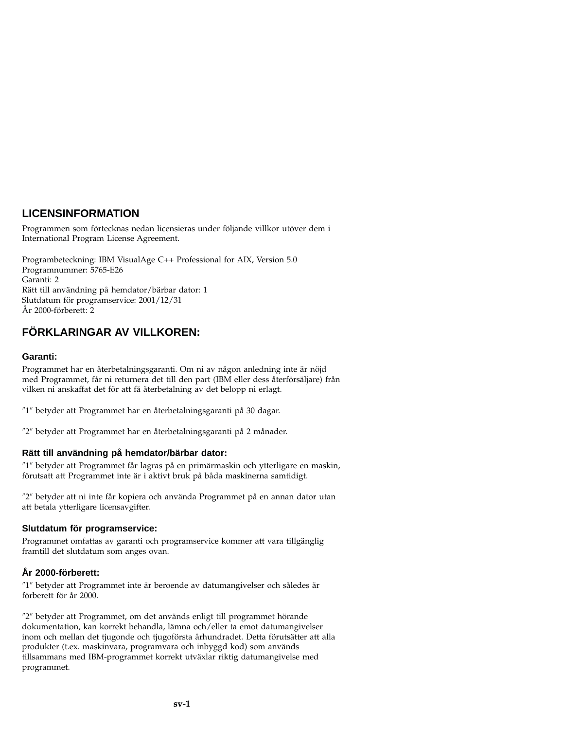# **LICENSINFORMATION**

Programmen som förtecknas nedan licensieras under följande villkor utöver dem i International Program License Agreement.

Programbeteckning: IBM VisualAge C++ Professional for AIX, Version 5.0 Programnummer: 5765-E26 Garanti: 2 Rätt till användning på hemdator/bärbar dator: 1 Slutdatum för programservice: 2001/12/31 År 2000-förberett: 2

# **FÖRKLARINGAR AV VILLKOREN:**

### **Garanti:**

Programmet har en återbetalningsgaranti. Om ni av någon anledning inte är nöjd med Programmet, får ni returnera det till den part (IBM eller dess återförsäljare) från vilken ni anskaffat det för att få återbetalning av det belopp ni erlagt.

″1″ betyder att Programmet har en återbetalningsgaranti på 30 dagar.

″2″ betyder att Programmet har en återbetalningsgaranti på 2 månader.

### **Rätt till användning på hemdator/bärbar dator:**

″1″ betyder att Programmet får lagras på en primärmaskin och ytterligare en maskin, förutsatt att Programmet inte är i aktivt bruk på båda maskinerna samtidigt.

″2″ betyder att ni inte får kopiera och använda Programmet på en annan dator utan att betala ytterligare licensavgifter.

### **Slutdatum för programservice:**

Programmet omfattas av garanti och programservice kommer att vara tillgänglig framtill det slutdatum som anges ovan.

## **År 2000-förberett:**

″1″ betyder att Programmet inte är beroende av datumangivelser och således är förberett för år 2000.

″2″ betyder att Programmet, om det används enligt till programmet hörande dokumentation, kan korrekt behandla, lämna och/eller ta emot datumangivelser inom och mellan det tjugonde och tjugoförsta århundradet. Detta förutsätter att alla produkter (t.ex. maskinvara, programvara och inbyggd kod) som används tillsammans med IBM-programmet korrekt utväxlar riktig datumangivelse med programmet.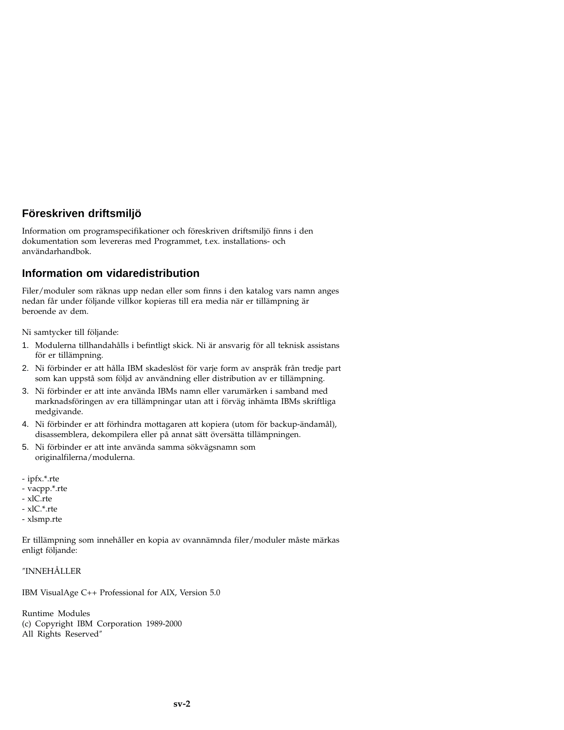# **Föreskriven driftsmiljö**

Information om programspecifikationer och föreskriven driftsmiljö finns i den dokumentation som levereras med Programmet, t.ex. installations- och användarhandbok.

## **Information om vidaredistribution**

Filer/moduler som räknas upp nedan eller som finns i den katalog vars namn anges nedan får under följande villkor kopieras till era media när er tillämpning är beroende av dem.

Ni samtycker till följande:

- 1. Modulerna tillhandahålls i befintligt skick. Ni är ansvarig för all teknisk assistans för er tillämpning.
- 2. Ni förbinder er att hålla IBM skadeslöst för varje form av anspråk från tredje part som kan uppstå som följd av användning eller distribution av er tillämpning.
- 3. Ni förbinder er att inte använda IBMs namn eller varumärken i samband med marknadsföringen av era tillämpningar utan att i förväg inhämta IBMs skriftliga medgivande.
- 4. Ni förbinder er att förhindra mottagaren att kopiera (utom för backup-ändamål), disassemblera, dekompilera eller på annat sätt översätta tillämpningen.
- 5. Ni förbinder er att inte använda samma sökvägsnamn som originalfilerna/modulerna.
- ipfx.\*.rte
- vacpp.\*.rte
- $xC$ rte
- xlC.\*.rte
- xlsmp.rte

Er tillämpning som innehåller en kopia av ovannämnda filer/moduler måste märkas enligt följande:

#### ″INNEHÅLLER

IBM VisualAge C++ Professional for AIX, Version 5.0

Runtime Modules (c) Copyright IBM Corporation 1989-2000 All Rights Reserved″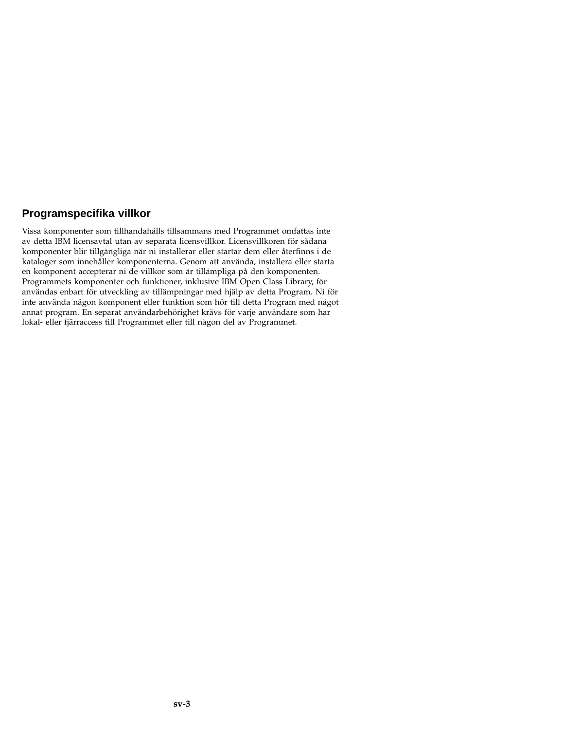## **Programspecifika villkor**

Vissa komponenter som tillhandahålls tillsammans med Programmet omfattas inte av detta IBM licensavtal utan av separata licensvillkor. Licensvillkoren för sådana komponenter blir tillgängliga när ni installerar eller startar dem eller återfinns i de kataloger som innehåller komponenterna. Genom att använda, installera eller starta en komponent accepterar ni de villkor som är tillämpliga på den komponenten. Programmets komponenter och funktioner, inklusive IBM Open Class Library, för användas enbart för utveckling av tillämpningar med hjälp av detta Program. Ni för inte använda någon komponent eller funktion som hör till detta Program med något annat program. En separat användarbehörighet krävs för varje användare som har lokal- eller fjärraccess till Programmet eller till någon del av Programmet.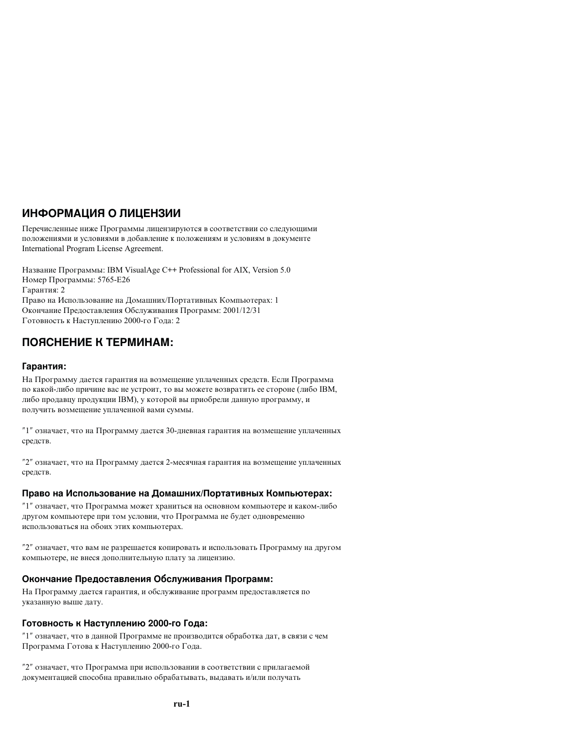# **ИНФОРМАЦИЯ О ЛИЦЕНЗИИ**

Перечисленные ниже Программы лицензируются в соответствии со следующими положениями и условиями в добавление к положениям и условиям в документе International Program License Agreement.

Название Программы: IBM VisualAge C++ Professional for AIX, Version 5.0 Номер Программы: 5765-E26 Гарантия: 2 Право на Использование на Домашних/Портативных Компьютерах: 1 Окончание Предоставления Обслуживания Программ: 2001/12/31 Готовность к Наступлению 2000-го Года: 2

# **ПОЯСНЕНИЕ К ТЕРМИНАМ:**

### **Гарантия:**

На Программу дается гарантия на возмещение уплаченных средств. Если Программа по какой-либо причине вас не устроит, то вы можете возвратить ее стороне (либо IBM, либо продавцу продукции IBM), у которой вы приобрели данную программу, и получить возмещение уплаченной вами суммы.

″1″ означает, что на Программу дается 30-дневная гарантия на возмещение уплаченных средств.

″2″ означает, что на Программу дается 2-месячная гарантия на возмещение уплаченных средств.

### Право на Использование на Домашних/Портативных Компьютерах:

″1″ означает, что Программа может храниться на основном компьютере и каком-либо другом компьютере при том условии, что Программа не будет одновременно использоваться на обоих этих компьютерах.

″2″ означает, что вам не разрешается копировать и использовать Программу на другом компьютере, не внеся дополнительную плату за лицензию.

### **Окончание Предоставления Обслуживания Программ:**

На Программу дается гарантия, и обслуживание программ предоставляется по указанную выше дату.

### **Готовность к Наступлению 2000-го Года:**

″1″ означает, что в данной Программе не производится обработка дат, в связи с чем Программа Готова к Наступлению 2000-го Года.

″2″ означает, что Программа при использовании в соответствии с прилагаемой документацией способна правильно обрабатывать, выдавать и/или получать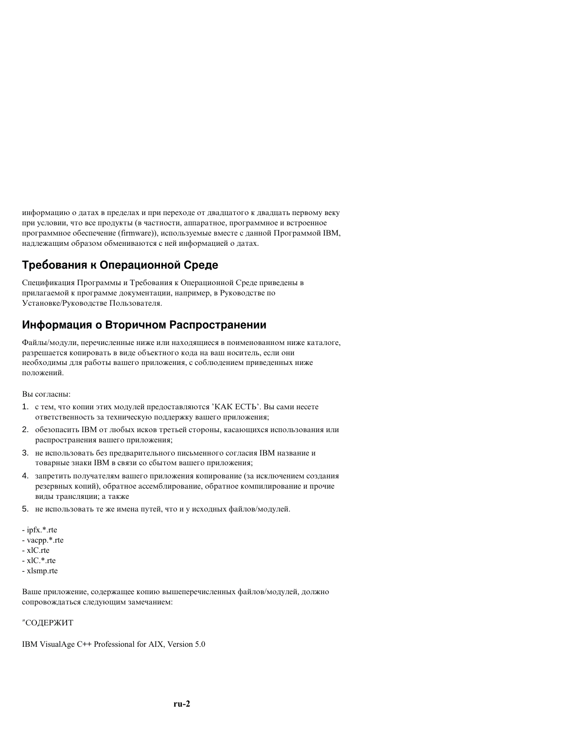информацию о датах в пределах и при переходе от двадцатого к двадцать первому веку при условии, что все продукты (в частности, аппаратное, программное и встроенное программное обеспечение (firmware)), используемые вместе с данной Программой IBM, надлежащим образом обмениваются с ней информацией о датах.

# Требования к Операционной Среде

Спецификация Программы и Требования к Операционной Среде приведены в прилагаемой к программе документации, например, в Руководстве по Установке/Руководстве Пользователя.

## Информация о Вторичном Распространении

Файлы/модули, перечисленные ниже или находящиеся в поименованном ниже каталоге, разрешается копировать в виде объектного кода на ваш носитель, если они необхолимы для работы вашего приложения, с соблюдением приведенных ниже положений

Вы согласны:

- 1. с тем. что копии этих молулей предоставляются 'КАК ЕСТЬ'. Вы сами несете ответственность за техническую поддержку вашего приложения;
- 2. обезопасить IBM от любых исков третьей стороны, касающихся использования или распространения вашего приложения:
- 3. не использовать без предварительного письменного согласия IBM название и товарные знаки IBM в связи со сбытом вашего приложения;
- 4. запретить получателям вашего приложения копирование (за исключением создания резервных копий), обратное ассемблирование, обратное компилирование и прочие вилы трансляции: а также
- 5. не использовать те же имена путей, что и у исходных файлов/модулей.
- ipfx.\*.rte
- vacpp.\*.rte
- xlC.rte
- $-xIC.*.$ rte
- xlsmp.rte

Ваше приложение, содержащее копию вышеперечисленных файлов/модулей, должно сопровождаться следующим замечанием:

#### "СОДЕРЖИТ

IBM VisualAge C++ Professional for AIX, Version 5.0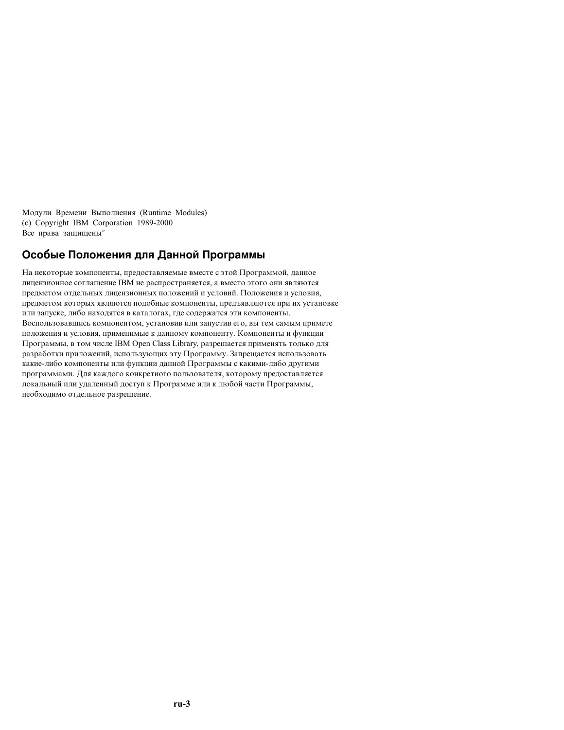Модули Времени Выполнения (Runtime Modules) (c) Copyright IBM Corporation 1989-2000 Все права защищены"

## Особые Положения для Данной Программы

На некоторые компоненты, предоставляемые вместе с этой Программой, данное лицензионное соглашение IBM не распространяется, а вместо этого они являются предметом отдельных лицензионных положений и условий. Положения и условия. предметом которых являются подобные компоненты, предъявляются при их установке или запуске, либо находятся в каталогах, где содержатся эти компоненты. Воспользовавшись компонентом, установив или запустив его, вы тем самым примете положения и условия, применимые к данному компоненту. Компоненты и функции Программы, в том числе IBM Open Class Library, разрешается применять только для разработки приложений, использующих эту Программу. Запрещается использовать какие-либо компоненты или функции данной Программы с какими-либо другими программами. Для каждого конкретного пользователя, которому предоставляется локальный или удаленный доступ к Программе или к любой части Программы, необходимо отдельное разрешение.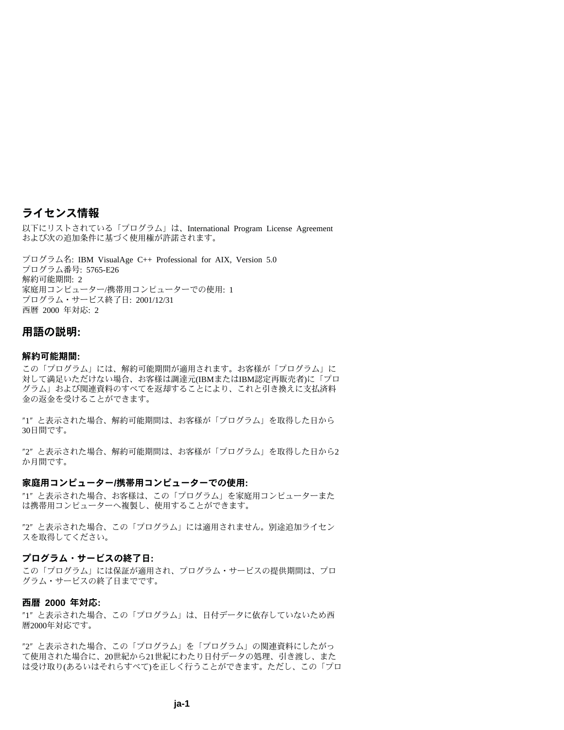### ライセンス情報

以下にリストされている「プログラム」は、International Program License Agreement および次の追加条件に基づく使用権が許諾されます。

プログラム名: IBM VisualAge C++ Professional for AIX, Version 5.0 プログラム番号: 5765-E26 解約可能期間· 2 家庭用コンピューター/携帯用コンピューターでの使用: 1 プログラム・サービス終了日: 2001/12/31 西暦 2000 年対応: 2

#### 用語の説明:

#### 解約可能期間:

この「プログラム」には、解約可能期間が適用されます。お客様が「プログラム」に 対して満足いただけない場合、お客様は調達元(IBMまたはIBM認定再販売者)に「プロ グラム」および関連資料のすべてを返却することにより、これと引き換えに支払済料 金の返金を受けることができます。

"1" と表示された場合、解約可能期間は、お客様が「プログラム」を取得した日から 30日間です。

"2" と表示された場合、解約可能期間は、お客様が「プログラム」を取得した日から2 か月間です。

#### 家庭用コンピューター/携帯用コンピューターでの使用:

"1" と表示された場合、お客様は、この「プログラム」を家庭用コンピューターまた は携帯用コンピューターへ複製し、使用することができます。

"2" と表示された場合、この「プログラム」には適用されません。別途追加ライセン スを取得してください。

#### プログラム・サービスの終了日:

この「プログラム」には保証が適用され、プログラム・サービスの提供期間は、プロ グラム・サービスの終了日までです。

#### 西暦 2000 年対応:

"1" と表示された場合、この「プログラム」は、日付データに依存していないため西 暦2000年対応です。

"2" と表示された場合、この「プログラム」を「プログラム」の関連資料にしたがっ て使用された場合に、20世紀から21世紀にわたり日付データの処理、引き渡し、また は受け取り(あるいはそれらすべて)を正しく行うことができます。ただし、この「プロ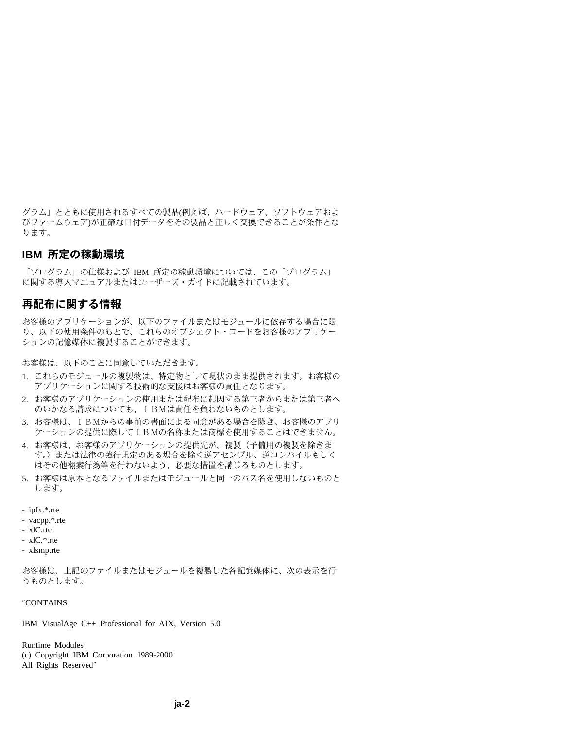グラム」とともに使用されるすべての製品(例えば、ハードウェア、ソフトウェアおよ びファームウェア)が正確な日付データをその製品と正しく交換できることが条件とな ります。

#### **IBM 所定の稼動環境**

「プログラム」の仕様および IBM 所定の稼動環境については、この「プログラム」 に関する導入マニュアルまたはユーザーズ・ガイドに記載されています。

### 再配布に関する情報

お客様のアプリケーションが、以下のファイルまたはモジュールに依存する場合に限 り、以下の使用条件のもとで、これらのオブジェクト・コードをお客様のアプリケー ションの記憶媒体に複製することができます。

お客様は、以下のことに同意していただきます。

- 1. これらのモジュールの複製物は、特定物として現状のまま提供されます。お客様の アプリケーションに関する技術的な支援はお客様の責任となります。
- 2. お客様のアプリケーションの使用または配布に起因する第三者からまたは第三者へ のいかなる請求についても、IBMは責任を負わないものとします。
- 3. お客様は、IBMからの事前の書面による同意がある場合を除き、お客様のアプリ ケーションの提供に際してIBMの名称または商標を使用することはできません。
- 4 お客様は、お客様のアプリケーションの提供先が、複製(予備用の複製を除きま す。)または法律の強行規定のある場合を除く逆アセンブル、逆コンパイルもしく はその他翻案行為等を行わないよう、必要な措置を講じるものとします。
- 5. お客様は原本となるファイルまたはモジュールと同一のパス名を使用しないものと します。
- ipfx.\*.rte
- vacpp.\*.rte
- $xIC.rte$
- $xIC.*.$ rte
- xlsmp.rte

お客様は、上記のファイルまたはモジュールを複製した各記憶媒体に、次の表示を行 うものとします。

"CONTAINS

IBM VisualAge C++ Professional for AIX, Version 5.0

**Runtime Modules** 

- (c) Copyright IBM Corporation 1989-2000
- All Rights Reserved"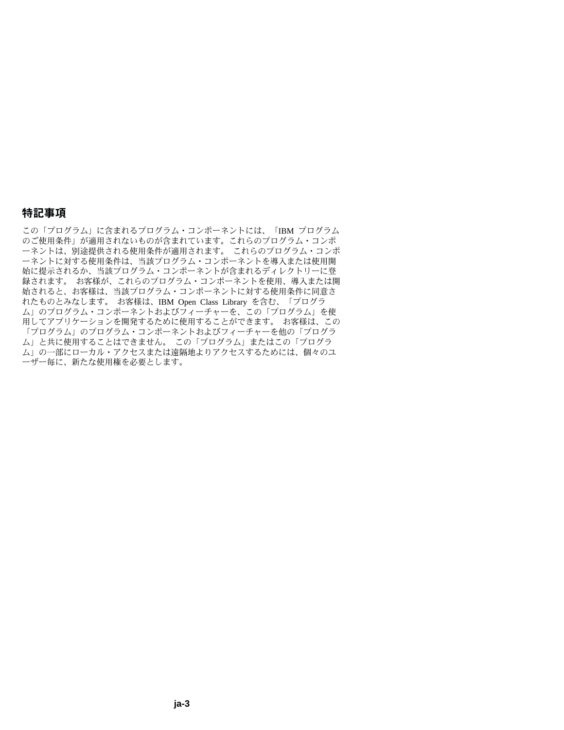### 特記事項

この「プログラム」に含まれるプログラム・コンポーネントには、「IBM プログラム のご使用条件」が適用されないものが含まれています。これらのプログラム・コンポ ーネントは、別途提供される使用条件が適用されます。 これらのプログラム・コンポ ーネントに対する使用条件は、当該プログラム・コンポーネントを導入または使用開 始に提示されるか、当該プログラム・コンポーネントが含まれるディレクトリーに登 録されます。お客様が、これらのプログラム・コンポーネントを使用、導入または開 始されると、お客様は、当該プログラム・コンポーネントに対する使用条件に同意さ れたものとみなします。お客様は、IBM Open Class Library を含む、「プログラ ム」のプログラム・コンポーネントおよびフィーチャーを、この「プログラム」を使 用してアプリケーションを開発するために使用することができます。 お客様は、この 「プログラム」のプログラム・コンポーネントおよびフィーチャーを他の「プログラ ム」と共に使用することはできません。この「プログラム」またはこの「プログラ ム」の一部にローカル・アクセスまたは遠隔地よりアクセスするためには、個々のユ ーザー毎に、新たな使用権を必要とします。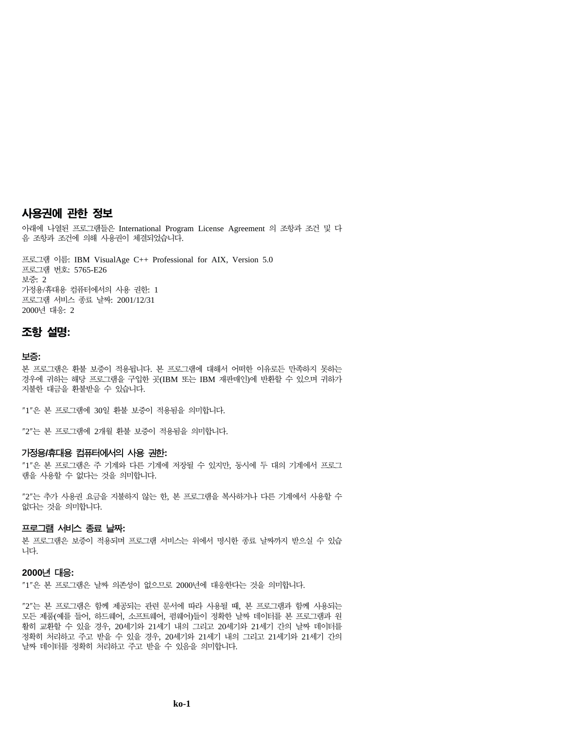### 사<del>용</del>권에 관한 정보

아래에 나열된 프로그램들은 International Program License Agreement 의 조항과 조건 및 다 음 조항과 조건에 의해 사용권이 체결되었습니다.

프로그램 이름: IBM VisualAge C++ Professional for AIX, Version 5.0 프로그램 번호: 5765-E26 보증: 2 가정용/휴대용 컴퓨터에서의 사용 권한: 1 프로그램 서비스 종료 날짜: 2001/12/31 2000년 대응: 2

### **-- :**

#### **:**

본 프로그램은 환불 보증이 적용됩니다. 본 프로그램에 대해서 어떠한 이유로든 만족하지 못하는 경우에 귀하는 해당 프로그램을 구입한 곳(IBM 또는 IBM 재판매인)에 반환할 수 있으며 귀하가 지불한 대금을 환불받을 수 있습니다.

"1"은 본 프로그램에 30일 환불 보증이 적용됨을 의미합니다.

"2"는 본 프로그램에 2개월 환불 보증이 적용됨을 의미합니다.

#### **-/ - -:**

"1"은 본 프로그램은 주 기계와 다른 기계에 저장될 수 있지만, 동시에 두 대의 기계에서 프로그 램을 사용할 수 없다는 것을 의미합니다.

"2"는 추가 사용권 요금을 지불하지 않는 한, 본 프로그램을 복사하거나 다른 기계에서 사용할 수 없다는 것을 의미합니다.

#### 프로그램 서비스 종료 날짜:

본 프로그램은 보증이 적용되며 프로그램 서비스는 위에서 명시한 종료 날짜까지 받으실 수 있습 니다.

#### **2000- -:**

"1"은 본 프로그램은 날짜 의존성이 없으므로 2000년에 대응한다는 것을 의미합니다.

"2"는 본 프로그램은 함께 제공되는 관련 문서에 따라 사용될 때, 본 프로그램과 함께 사용되는 모든 제품(예를 들어, 하드웨어, 소프트웨어, 펌웨어)들이 정확한 날짜 데이터를 본 프로그램과 원 활히 교환할 수 있을 경우, 20세기와 21세기 내의 그리고 20세기와 21세기 간의 날짜 데이터를 정확히 처리하고 주고 받을 수 있을 경우, 20세기와 21세기 내의 그리고 21세기와 21세기 간의 날짜 데이터를 정확히 처리하고 주고 받을 수 있음을 의미합니다.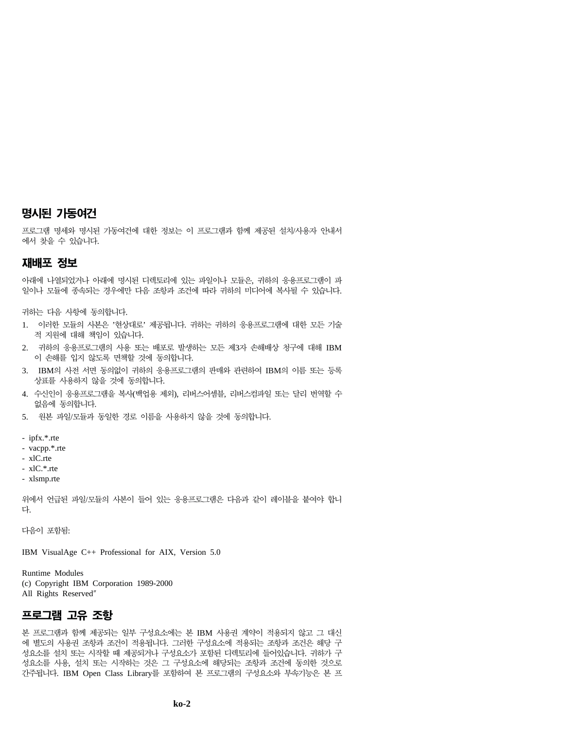## 명시된 가동여건

프로그램 명세와 명시된 가동여건에 대한 정보는 이 프로그램과 함께 제공된 설치/사용자 안내서 에서 찾을 수 있습니다.

#### 재배포 정보

아래에 나열되었거나 아래에 명시된 디렉토리에 있는 파일이나 모듈은, 귀하의 응용프로그램이 파 일이나 모듈에 종속되는 경우에만 다음 조항과 조건에 따라 귀하의 미디어에 복사될 수 있습니다.

귀하는 다음 사항에 동의합니다.

- 1. 이러한 모듈의 사본은 '현상대로' 제공됩니다. 귀하는 귀하의 응용프로그램에 대한 모든 기술 적 지원에 대해 책임이 있습니다.
- 2. 귀하의 응용프로그램의 사용 또는 배포로 발생하는 모든 제3자 손해배상 청구에 대해 IBM 이 손해를 입지 않도록 면책할 것에 동의합니다.
- 3. IBM의 사전 서면 동의없이 귀하의 응용프로그램의 판매와 관련하여 IBM의 이름 또는 등록 상표를 사용하지 않을 것에 동의합니다.
- 4. 수신인이 응용프로그램을 복사(백업용 제외), 리버스어셈블, 리버스컴파일 또는 달리 번역할 수 없음에 동의합니다.
- 5. 원본 파일/모듈과 동일한 경로 이름을 사용하지 않을 것에 동의합니다.
- ipfx.\*.rte
- vacpp.\*.rte
- $xC$  rte.
- xlC.\*.rte
- xlsmp.rte

위에서 언급된 파일/모듈의 사본이 들어 있는 응용프로그램은 다음과 같이 레이블을 붙여야 합니 다

다음이 포함됨:

IBM VisualAge C++ Professional for AIX, Version 5.0

Runtime Modules (c) Copyright IBM Corporation 1989-2000 All Rights Reserved″

### 프로그램 고유 조항

본 프로그램과 함께 제공되는 일부 구성요소에는 본 IBM 사용권 계약이 적용되지 않고 그 대신 에 별도의 사용권 조항과 조건이 적용됩니다. 그러한 구성요소에 적용되는 조항과 조건은 해당 구 성요소를 설치 또는 시작할 때 제공되거나 구성요소가 포함된 디렉토리에 들어있습니다. 귀하가 구 성요소를 사용, 설치 또는 시작하는 것은 그 구성요소에 해당되는 조항과 조건에 동의한 것으로 간주됩니다. IBM Open Class Library를 포함하여 본 프로그램의 구성요소와 부속기능은 본 프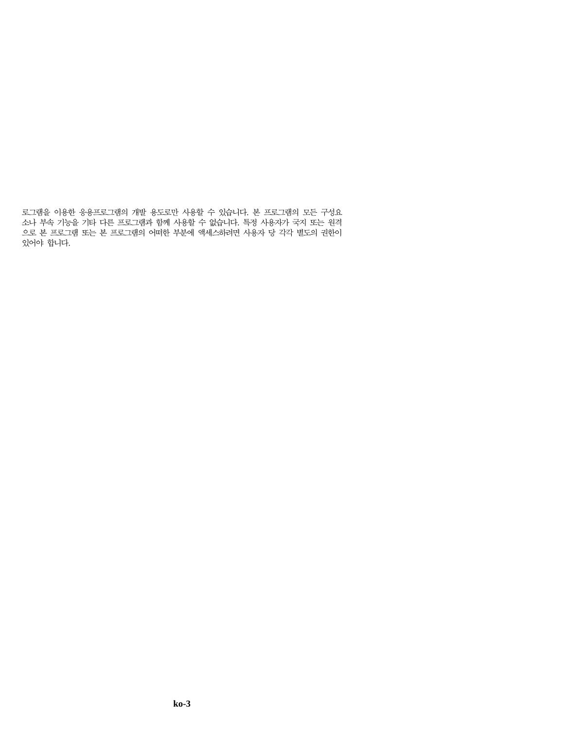로그램을 이용한 응용프로그램의 개발 용도로만 사용할 수 있습니다. 본 프로그램의 모든 구성요 소나 부속 기능을 기타 다른 프로그램과 함께 사용할 수 없습니다. 특정 사용자가 국지 또는 원격 으로 본 프로그램 또는 본 프로그램의 어떠한 부분에 액세스하려면 사용자 당 각각 별도의 권한이 있어야 합니다.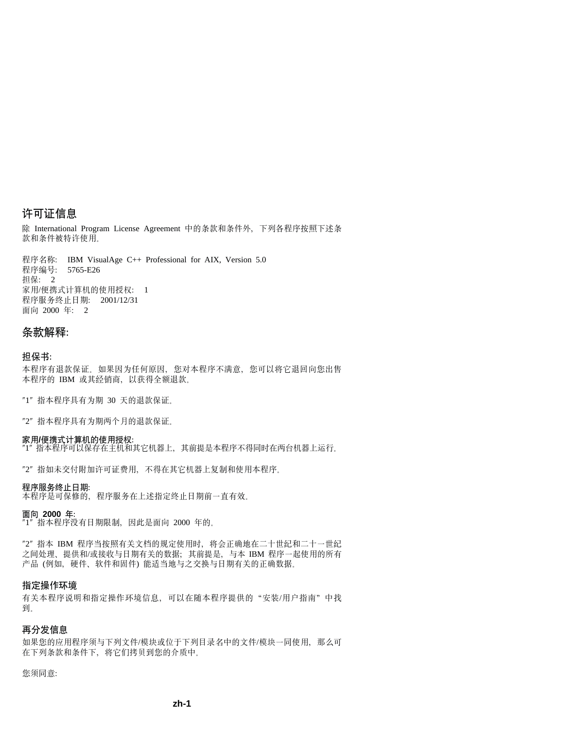## 许可证信息

除 International Program License Agreement 中的条款和条件外, 下列各程序按照下述条 款和条件被特许使用。

程序名称: IBM VisualAge C++ Professional for AIX, Version 5.0 程序编号: 5765-E26 相保: 2 家用/便携式计算机的使用授权: 1 程序服务终止日期: 2001/12/31 面向 2000 年: 2

### **unbM:**

#### **##i:**

本程序有退款保证。如果因为任何原因, 您对本程序不满意, 您可以将它退回向您出售 本程序的 IBM 或其经销商, 以获得全额退款。

"1" 指本程序具有为期 30 天的退款保证。

"2" 指本程序具有为期两个月的退款保证。

#### **RC/c/=FczD9CZ(:**

 $J''$ 指本程序可以保存在主机和其它机器上,其前提是本程序不得同时在两台机器上运行。

"2" 指如未交付附加许可证费用, 不得在其它机器上复制和使用本程序。

#### 程序服务终止日期:

本程序是可保修的,程序服务在上述指定终止日期前一直有效。

#### **fr 2000 j:**

 $"1"$  指本程序没有日期限制, 因此是面向 2000 年的。

"2" 指本 IBM 程序当按照有关文档的规定使用时,将会正确地在二十世纪和二十一世纪 之间处理、提供和/或接收与日期有关的数据;其前提是、与本 IBM 程序一起使用的所有 产品(例如, 硬件、软件和固件)能适当地与之交换与日期有关的正确数据。

#### **8(Yw73**

有关本程序说明和指定操作环境信息,可以在随本程序提供的"安装/用户指南"中找 到.

#### 再分发信息

如果您的应用程序须与下列文件/模块或位于下列目录名中的文件/模块一同使用、那么可 在下列条款和条件下,将它们拷贝到您的介质中。

您须同意: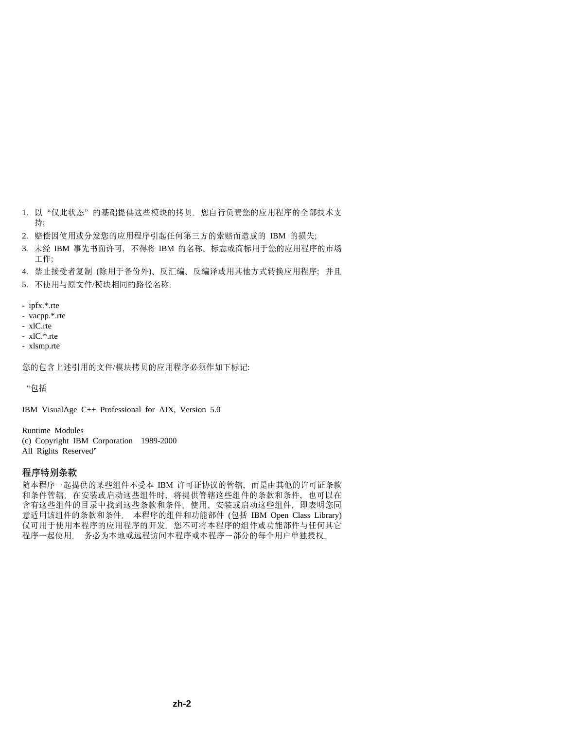- 1. 以"仅此状态"的基础提供这些模块的拷贝。您自行负责您的应用程序的全部技术支 持:
- 2. 赔偿因使用或分发您的应用程序引起任何第三方的索赔而造成的 IBM 的损失;
- 3. 未经 IBM 事先书面许可, 不得将 IBM 的名称, 标志或商标用于您的应用程序的市场 **工作:**
- 4. 禁止接受者复制 (除用于备份外)、反汇编、反编译或用其他方式转换应用程序; 并且
- 5. 不伸用与原文件/模块相同的路径名称
- ipfx.\*.rte
- vacpp.\*.rte
- xlC.rte
- $-xIC.*$ rte
- xlsmp.rte

您的句含上述引用的文件/模块拷贝的应用程序必须作如下标记:

"句括

IBM VisualAge C++ Professional for AIX, Version 5.0

Runtime Modules (c) Copyright IBM Corporation 1989-2000 All Rights Reserved"

#### 程序特别条款

随本程序一起提供的某些组件不受本 IBM 许可证协议的管辖, 而是由其他的许可证条款 和条件管辖。在安装或启动这些组件时、将提供管辖这些组件的条款和条件、也可以在 含有这些组件的目录中找到这些条款和条件。使用、安装或启动这些组件、即表明您同 意适用该组件的条款和条件。本程序的组件和功能部件 (包括 IBM Open Class Library) 仅可用于使用本程序的应用程序的开发。您不可将本程序的组件或功能部件与任何其它 程序一起使用。 务必为本地或远程访问本程序或本程序一部分的每个用户单独授权。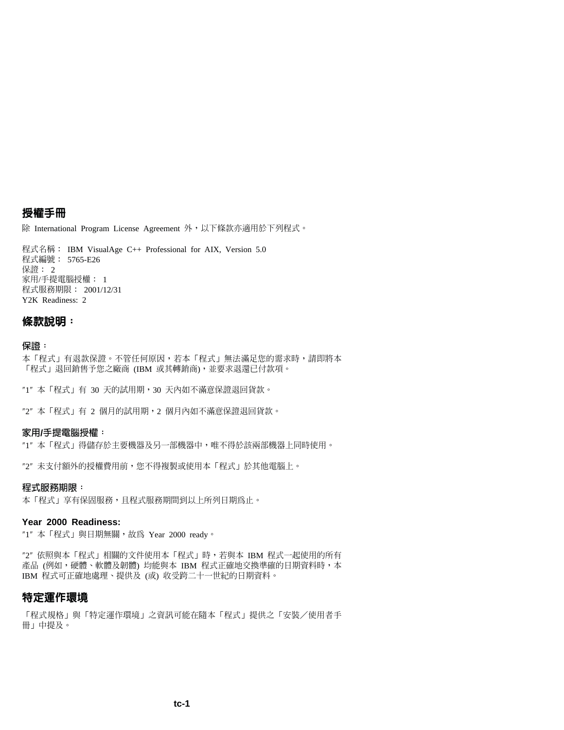## 授權手冊

除 International Program License Agreement 外,以下條款亦適用於下列程式。

程式名稱: IBM VisualAge C++ Professional for AIX, Version 5.0 程式編號: 5765-E26 保證: 2 家用/手提電腦授權: 1 程式服務期限: 2001/12/31 Y2K Readiness: 2

#### **條款說明:**

#### 保證:

本「程式」有退款保證。不管任何原因,若本「程式」無法滿足您的需求時,請即將本 「程式」退回銷售予您之廠商 (IBM 或其轉銷商),並要求退還已付款項。

"1" 本「程式」有 30 天的試用期,30 天內如不滿意保證退回貨款。

"2" 本 「程式」有 2 個月的試用期,2 個月內如不滿意保證退回貨款。

#### 家用/手提雷腦授權:

"1" 本「程式」得儲存於主要機器及另一部機器中,唯不得於該兩部機器上同時使用。

"2" 未支付額外的授權費用前,您不得複製或使用本「程式」於其他電腦上。

#### 程式服務期限:

本「程式」享有保固服務,且程式服務期間到以上所列日期為止。

#### **Year 2000 Readiness:**

 $"1"$  本「程式」與日期無關,故為 Year 2000 ready。

"2" 依照與本「程式」相關的文件使用本「程式」時,若與本 IBM 程式一起使用的所有 產品 (例如,硬體、軟體及韌體) 均能與本 IBM 程式正確地交換準確的日期資料時,本 IBM 程式可正確地處理、提供及 (或) 收受跨二十一世紀的日期資料。

### 特定運作環境

「程式規格」與「特定運作環境」之資訊可能在隋本「程式」提供之「安裝/使用者手 冊」中提及。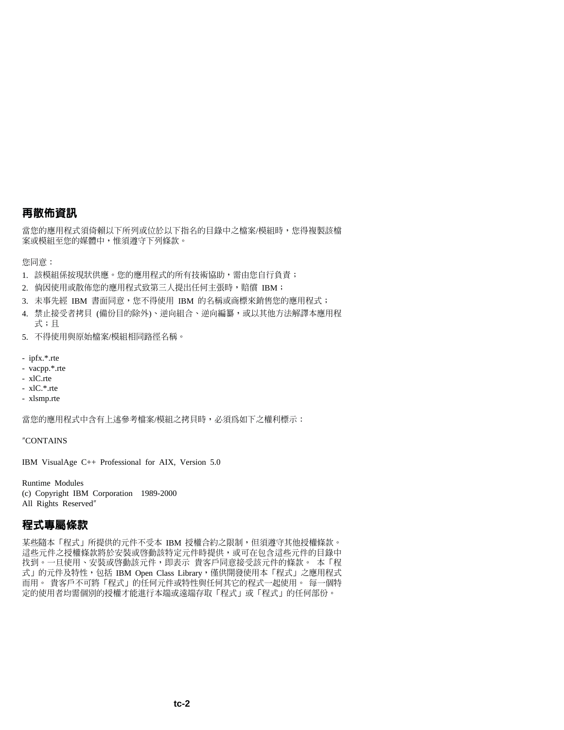## 再散佈資訊

當您的應用程式須倚賴以下所列或位於以下指名的目錄中之檔案/模組時,您得複製該檔 案或模組至您的媒體中,惟須遵守下列條款。

您同意:

- 1. 該模組係按現狀供應。您的應用程式的所有技術協助,需由您自行負責;
- 2. 倘因使用或散佈您的應用程式致第三人提出任何主張時,賠償 IBM;
- 3. 未事先經 IBM 書面同意,您不得使用 IBM 的名稱或商標來銷售您的應用程式;
- 4. 禁止接受者拷目 (備份目的除外)、逆向組合、逆向編纂,或以其他方法解譯本應用程 式;且
- 5. 不得使用與原始檔案/模組相同路徑名稱。
- $-$  infx.\*.rte
- vacpp.\*.rte
- xlC.rte
- $-xIC.*$ rte
- xlsmp.rte

當您的應用程式中含有上述參考檔案/模組之拷貝時,必須為如下之權利標示:

"CONTAINS

IBM VisualAge C++ Professional for AIX, Version 5.0

**Runtime Modules** (c) Copyright IBM Corporation 1989-2000 All Rights Reserved"

### 程式專屬條款

某些隨本「程式」所提供的元件不受本 IBM 授權合約之限制,但須遵守其他授權條款。 這些元件之授權條款將於安裝或啓動該特定元件時提供,或可在包含這些元件的目錄中 找到。一旦使用、安裝或啓動該元件,即表示 貴客戶同意接受該元件的條款。 本「程 式」的元件及特性,包括 IBM Open Class Library,僅供開發使用本「程式」之應用程式 而用。 貴客戶不可將「程式」的任何元件或特性與任何其它的程式一起使用。 每一個特 定的使用者均需個別的授權才能進行本端或遠端存取「程式」或「程式」的任何部份。